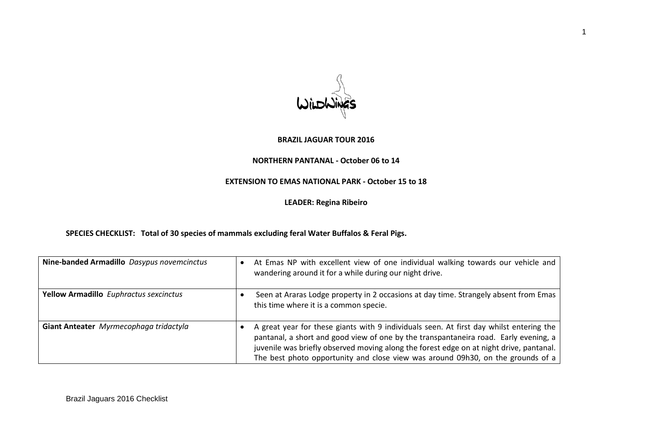### **BRAZIL JAGUAR TOUR 2016**

#### **NORTHERN PANTANAL - October 06 to 14**

# **EXTENSION TO EMAS NATIONAL PARK - October 15 to 18**

**LEADER: Regina Ribeiro**

**SPECIES CHECKLIST: Total of 30 species of mammals excluding feral Water Buffalos & Feral Pigs.**

| Nine-banded Armadillo Dasypus novemcinctus | At Emas NP with excellent view of one individual walking towards our vehicle and<br>wandering around it for a while during our night drive.                                                                                                                                                                                                                   |
|--------------------------------------------|---------------------------------------------------------------------------------------------------------------------------------------------------------------------------------------------------------------------------------------------------------------------------------------------------------------------------------------------------------------|
| Yellow Armadillo Euphractus sexcinctus     | Seen at Araras Lodge property in 2 occasions at day time. Strangely absent from Emas<br>this time where it is a common specie.                                                                                                                                                                                                                                |
| Giant Anteater Myrmecophaga tridactyla     | A great year for these giants with 9 individuals seen. At first day whilst entering the<br>pantanal, a short and good view of one by the transpantaneira road. Early evening, a<br>juvenile was briefly observed moving along the forest edge on at night drive, pantanal.<br>The best photo opportunity and close view was around 09h30, on the grounds of a |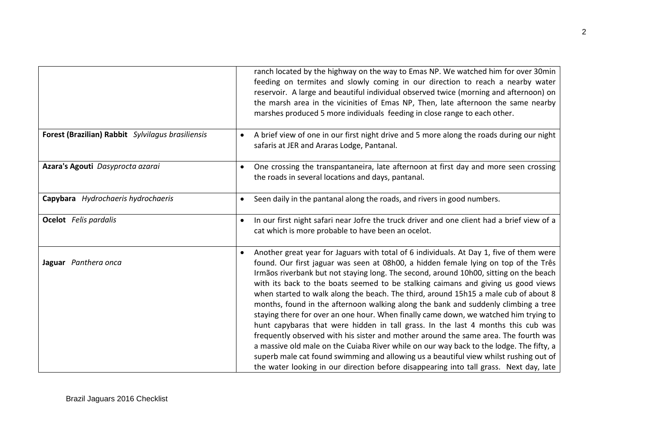|                                                   | ranch located by the highway on the way to Emas NP. We watched him for over 30min<br>feeding on termites and slowly coming in our direction to reach a nearby water<br>reservoir. A large and beautiful individual observed twice (morning and afternoon) on<br>the marsh area in the vicinities of Emas NP, Then, late afternoon the same nearby                                                                                                                                                                                                                                                                                                                                                                                                                                                                                                                                                                                                                                                                                                                                                       |
|---------------------------------------------------|---------------------------------------------------------------------------------------------------------------------------------------------------------------------------------------------------------------------------------------------------------------------------------------------------------------------------------------------------------------------------------------------------------------------------------------------------------------------------------------------------------------------------------------------------------------------------------------------------------------------------------------------------------------------------------------------------------------------------------------------------------------------------------------------------------------------------------------------------------------------------------------------------------------------------------------------------------------------------------------------------------------------------------------------------------------------------------------------------------|
|                                                   | marshes produced 5 more individuals feeding in close range to each other.                                                                                                                                                                                                                                                                                                                                                                                                                                                                                                                                                                                                                                                                                                                                                                                                                                                                                                                                                                                                                               |
| Forest (Brazilian) Rabbit Sylvilagus brasiliensis | A brief view of one in our first night drive and 5 more along the roads during our night<br>$\bullet$<br>safaris at JER and Araras Lodge, Pantanal.                                                                                                                                                                                                                                                                                                                                                                                                                                                                                                                                                                                                                                                                                                                                                                                                                                                                                                                                                     |
| Azara's Agouti Dasyprocta azarai                  | One crossing the transpantaneira, late afternoon at first day and more seen crossing<br>$\bullet$<br>the roads in several locations and days, pantanal.                                                                                                                                                                                                                                                                                                                                                                                                                                                                                                                                                                                                                                                                                                                                                                                                                                                                                                                                                 |
| Capybara Hydrochaeris hydrochaeris                | Seen daily in the pantanal along the roads, and rivers in good numbers.<br>$\bullet$                                                                                                                                                                                                                                                                                                                                                                                                                                                                                                                                                                                                                                                                                                                                                                                                                                                                                                                                                                                                                    |
| <b>Ocelot</b> Felis pardalis                      | In our first night safari near Jofre the truck driver and one client had a brief view of a<br>$\bullet$<br>cat which is more probable to have been an ocelot.                                                                                                                                                                                                                                                                                                                                                                                                                                                                                                                                                                                                                                                                                                                                                                                                                                                                                                                                           |
| Jaguar Panthera onca                              | Another great year for Jaguars with total of 6 individuals. At Day 1, five of them were<br>$\bullet$<br>found. Our first jaguar was seen at 08h00, a hidden female lying on top of the Três<br>Irmãos riverbank but not staying long. The second, around 10h00, sitting on the beach<br>with its back to the boats seemed to be stalking caimans and giving us good views<br>when started to walk along the beach. The third, around 15h15 a male cub of about 8<br>months, found in the afternoon walking along the bank and suddenly climbing a tree<br>staying there for over an one hour. When finally came down, we watched him trying to<br>hunt capybaras that were hidden in tall grass. In the last 4 months this cub was<br>frequently observed with his sister and mother around the same area. The fourth was<br>a massive old male on the Cuiaba River while on our way back to the lodge. The fifty, a<br>superb male cat found swimming and allowing us a beautiful view whilst rushing out of<br>the water looking in our direction before disappearing into tall grass. Next day, late |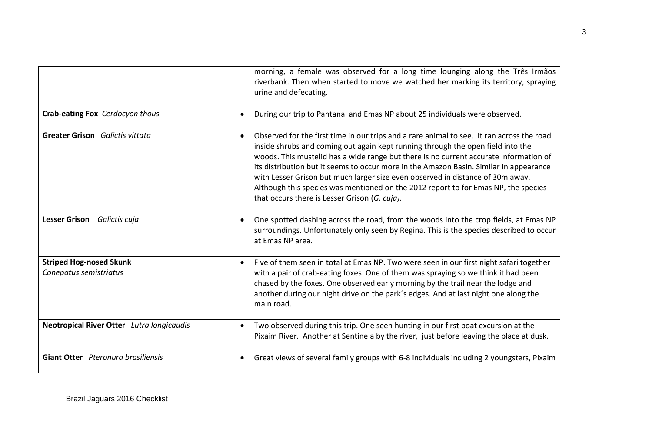|                                                          | morning, a female was observed for a long time lounging along the Três Irmãos<br>riverbank. Then when started to move we watched her marking its territory, spraying<br>urine and defecating.                                                                                                                                                                                                                                                                                                                                                                                                         |
|----------------------------------------------------------|-------------------------------------------------------------------------------------------------------------------------------------------------------------------------------------------------------------------------------------------------------------------------------------------------------------------------------------------------------------------------------------------------------------------------------------------------------------------------------------------------------------------------------------------------------------------------------------------------------|
| Crab-eating Fox Cerdocyon thous                          | During our trip to Pantanal and Emas NP about 25 individuals were observed.<br>$\bullet$                                                                                                                                                                                                                                                                                                                                                                                                                                                                                                              |
| <b>Greater Grison</b> Galictis vittata                   | Observed for the first time in our trips and a rare animal to see. It ran across the road<br>$\bullet$<br>inside shrubs and coming out again kept running through the open field into the<br>woods. This mustelid has a wide range but there is no current accurate information of<br>its distribution but it seems to occur more in the Amazon Basin. Similar in appearance<br>with Lesser Grison but much larger size even observed in distance of 30m away.<br>Although this species was mentioned on the 2012 report to for Emas NP, the species<br>that occurs there is Lesser Grison (G. cuja). |
| Lesser Grison Galictis cuja                              | One spotted dashing across the road, from the woods into the crop fields, at Emas NP<br>$\bullet$<br>surroundings. Unfortunately only seen by Regina. This is the species described to occur<br>at Emas NP area.                                                                                                                                                                                                                                                                                                                                                                                      |
| <b>Striped Hog-nosed Skunk</b><br>Conepatus semistriatus | Five of them seen in total at Emas NP. Two were seen in our first night safari together<br>$\bullet$<br>with a pair of crab-eating foxes. One of them was spraying so we think it had been<br>chased by the foxes. One observed early morning by the trail near the lodge and<br>another during our night drive on the park's edges. And at last night one along the<br>main road.                                                                                                                                                                                                                    |
| Neotropical River Otter Lutra longicaudis                | Two observed during this trip. One seen hunting in our first boat excursion at the<br>$\bullet$<br>Pixaim River. Another at Sentinela by the river, just before leaving the place at dusk.                                                                                                                                                                                                                                                                                                                                                                                                            |
| Giant Otter Pteronura brasiliensis                       | Great views of several family groups with 6-8 individuals including 2 youngsters, Pixaim<br>$\bullet$                                                                                                                                                                                                                                                                                                                                                                                                                                                                                                 |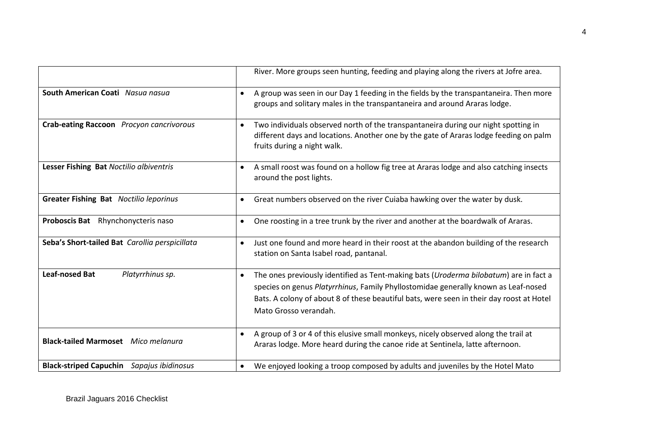|                                                  | River. More groups seen hunting, feeding and playing along the rivers at Jofre area.                                                                                                                                                                                                                          |
|--------------------------------------------------|---------------------------------------------------------------------------------------------------------------------------------------------------------------------------------------------------------------------------------------------------------------------------------------------------------------|
| South American Coati Nasua nasua                 | A group was seen in our Day 1 feeding in the fields by the transpantaneira. Then more<br>$\bullet$<br>groups and solitary males in the transpantaneira and around Araras lodge.                                                                                                                               |
| Crab-eating Raccoon Procyon cancrivorous         | Two individuals observed north of the transpantaneira during our night spotting in<br>$\bullet$<br>different days and locations. Another one by the gate of Araras lodge feeding on palm<br>fruits during a night walk.                                                                                       |
| Lesser Fishing Bat Noctilio albiventris          | A small roost was found on a hollow fig tree at Araras lodge and also catching insects<br>$\bullet$<br>around the post lights.                                                                                                                                                                                |
| <b>Greater Fishing Bat</b> Noctilio leporinus    | Great numbers observed on the river Cuiaba hawking over the water by dusk.<br>$\bullet$                                                                                                                                                                                                                       |
| Proboscis Bat Rhynchonycteris naso               | One roosting in a tree trunk by the river and another at the boardwalk of Araras.<br>٠                                                                                                                                                                                                                        |
| Seba's Short-tailed Bat Carollia perspicillata   | Just one found and more heard in their roost at the abandon building of the research<br>$\bullet$<br>station on Santa Isabel road, pantanal.                                                                                                                                                                  |
| <b>Leaf-nosed Bat</b><br>Platyrrhinus sp.        | The ones previously identified as Tent-making bats (Uroderma bilobatum) are in fact a<br>$\bullet$<br>species on genus Platyrrhinus, Family Phyllostomidae generally known as Leaf-nosed<br>Bats. A colony of about 8 of these beautiful bats, were seen in their day roost at Hotel<br>Mato Grosso verandah. |
| <b>Black-tailed Marmoset</b> Mico melanura       | A group of 3 or 4 of this elusive small monkeys, nicely observed along the trail at<br>$\bullet$<br>Araras lodge. More heard during the canoe ride at Sentinela, latte afternoon.                                                                                                                             |
| <b>Black-striped Capuchin</b> Sapajus ibidinosus | We enjoyed looking a troop composed by adults and juveniles by the Hotel Mato                                                                                                                                                                                                                                 |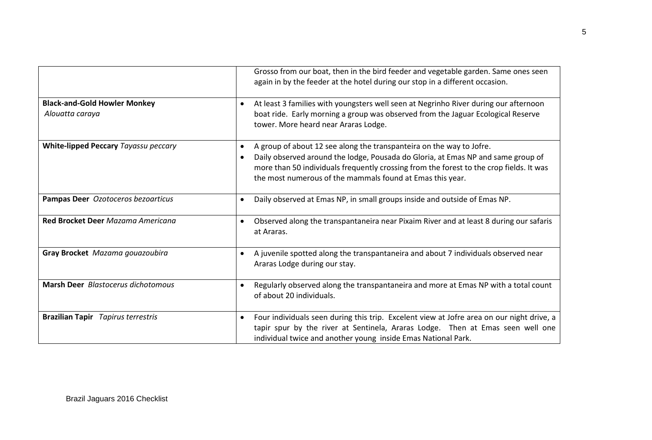|                                                        | Grosso from our boat, then in the bird feeder and vegetable garden. Same ones seen<br>again in by the feeder at the hotel during our stop in a different occasion.                                                                                                                                                                         |
|--------------------------------------------------------|--------------------------------------------------------------------------------------------------------------------------------------------------------------------------------------------------------------------------------------------------------------------------------------------------------------------------------------------|
| <b>Black-and-Gold Howler Monkey</b><br>Alouatta caraya | At least 3 families with youngsters well seen at Negrinho River during our afternoon<br>$\bullet$<br>boat ride. Early morning a group was observed from the Jaguar Ecological Reserve<br>tower. More heard near Araras Lodge.                                                                                                              |
| White-lipped Peccary Tayassu peccary                   | A group of about 12 see along the transpanteira on the way to Jofre.<br>$\bullet$<br>Daily observed around the lodge, Pousada do Gloria, at Emas NP and same group of<br>$\bullet$<br>more than 50 individuals frequently crossing from the forest to the crop fields. It was<br>the most numerous of the mammals found at Emas this year. |
| Pampas Deer Ozotoceros bezoarticus                     | Daily observed at Emas NP, in small groups inside and outside of Emas NP.<br>$\bullet$                                                                                                                                                                                                                                                     |
| Red Brocket Deer Mazama Americana                      | Observed along the transpantaneira near Pixaim River and at least 8 during our safaris<br>$\bullet$<br>at Araras.                                                                                                                                                                                                                          |
| Gray Brocket Mazama gouazoubira                        | A juvenile spotted along the transpantaneira and about 7 individuals observed near<br>$\bullet$<br>Araras Lodge during our stay.                                                                                                                                                                                                           |
| Marsh Deer Blastocerus dichotomous                     | Regularly observed along the transpantaneira and more at Emas NP with a total count<br>of about 20 individuals.                                                                                                                                                                                                                            |
| <b>Brazilian Tapir</b> Tapirus terrestris              | Four individuals seen during this trip. Excelent view at Jofre area on our night drive, a<br>$\bullet$<br>tapir spur by the river at Sentinela, Araras Lodge. Then at Emas seen well one<br>individual twice and another young inside Emas National Park.                                                                                  |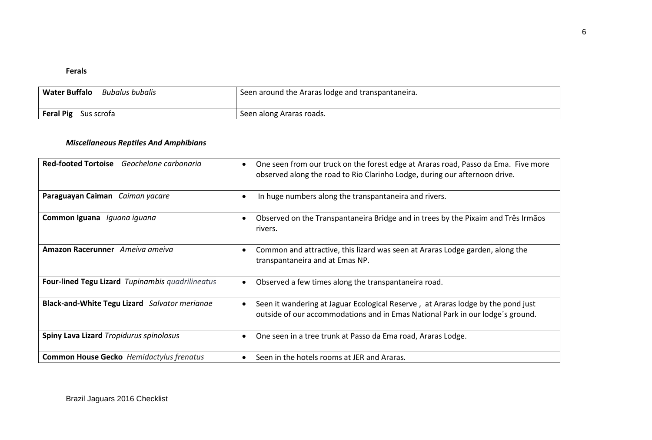### **Ferals**

| <b>Water Buffalo</b><br>Bubalus bubalis | Seen around the Araras lodge and transpantaneira. |
|-----------------------------------------|---------------------------------------------------|
| <b>Feral Pig</b><br>Sus scrota          | Seen along Araras roads.                          |

# *Miscellaneous Reptiles And Amphibians*

| Red-footed Tortoise Geochelone carbonaria        | One seen from our truck on the forest edge at Araras road, Passo da Ema. Five more<br>$\bullet$<br>observed along the road to Rio Clarinho Lodge, during our afternoon drive.   |
|--------------------------------------------------|---------------------------------------------------------------------------------------------------------------------------------------------------------------------------------|
| Paraguayan Caiman Caiman yacare                  | In huge numbers along the transpantaneira and rivers.<br>$\bullet$                                                                                                              |
| Common Iguana Iguana iguana                      | Observed on the Transpantaneira Bridge and in trees by the Pixaim and Três Irmãos<br>$\bullet$<br>rivers.                                                                       |
| Amazon Racerunner Ameiva ameiva                  | Common and attractive, this lizard was seen at Araras Lodge garden, along the<br>$\bullet$<br>transpantaneira and at Emas NP.                                                   |
| Four-lined Tegu Lizard Tupinambis quadrilineatus | Observed a few times along the transpantaneira road.<br>$\bullet$                                                                                                               |
| Black-and-White Tegu Lizard Salvator merianae    | Seen it wandering at Jaguar Ecological Reserve, at Araras lodge by the pond just<br>$\bullet$<br>outside of our accommodations and in Emas National Park in our lodge's ground. |
| <b>Spiny Lava Lizard Tropidurus spinolosus</b>   | One seen in a tree trunk at Passo da Ema road, Araras Lodge.<br>$\bullet$                                                                                                       |
| <b>Common House Gecko</b> Hemidactylus frenatus  | Seen in the hotels rooms at JER and Araras.<br>$\bullet$                                                                                                                        |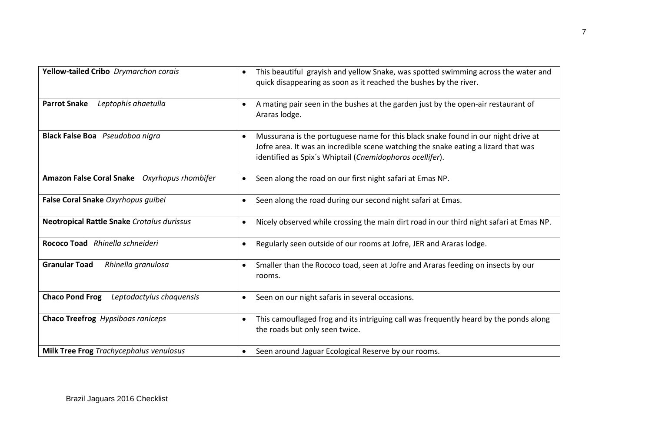| Yellow-tailed Cribo Drymarchon corais              | This beautiful grayish and yellow Snake, was spotted swimming across the water and<br>$\bullet$<br>quick disappearing as soon as it reached the bushes by the river.                                                                             |
|----------------------------------------------------|--------------------------------------------------------------------------------------------------------------------------------------------------------------------------------------------------------------------------------------------------|
| <b>Parrot Snake</b><br>Leptophis ahaetulla         | A mating pair seen in the bushes at the garden just by the open-air restaurant of<br>٠<br>Araras lodge.                                                                                                                                          |
| Black False Boa Pseudoboa nigra                    | Mussurana is the portuguese name for this black snake found in our night drive at<br>$\bullet$<br>Jofre area. It was an incredible scene watching the snake eating a lizard that was<br>identified as Spix's Whiptail (Cnemidophoros ocellifer). |
| Amazon False Coral Snake Oxyrhopus rhombifer       | Seen along the road on our first night safari at Emas NP.<br>$\bullet$                                                                                                                                                                           |
| False Coral Snake Oxyrhopus guibei                 | Seen along the road during our second night safari at Emas.<br>$\bullet$                                                                                                                                                                         |
| <b>Neotropical Rattle Snake Crotalus durissus</b>  | Nicely observed while crossing the main dirt road in our third night safari at Emas NP.<br>$\bullet$                                                                                                                                             |
| Rococo Toad Rhinella schneideri                    | Regularly seen outside of our rooms at Jofre, JER and Araras lodge.<br>$\bullet$                                                                                                                                                                 |
| <b>Granular Toad</b><br>Rhinella granulosa         | Smaller than the Rococo toad, seen at Jofre and Araras feeding on insects by our<br>$\bullet$<br>rooms.                                                                                                                                          |
| <b>Chaco Pond Frog</b><br>Leptodactylus chaquensis | Seen on our night safaris in several occasions.<br>$\bullet$                                                                                                                                                                                     |
| Chaco Treefrog Hypsiboas raniceps                  | This camouflaged frog and its intriguing call was frequently heard by the ponds along<br>$\bullet$<br>the roads but only seen twice.                                                                                                             |
| <b>Milk Tree Frog Trachycephalus venulosus</b>     | Seen around Jaguar Ecological Reserve by our rooms.<br>$\bullet$                                                                                                                                                                                 |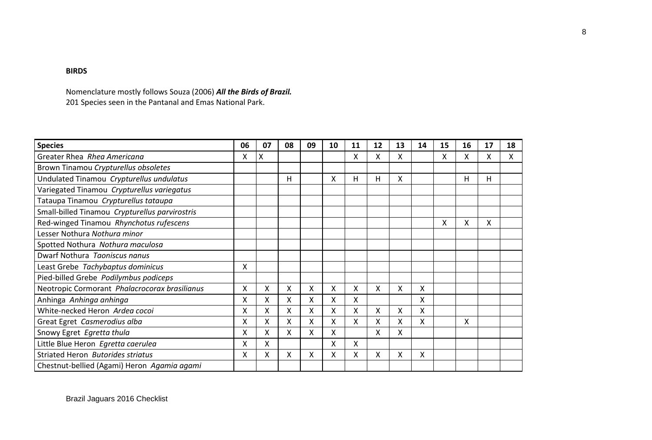# **BIRDS**

Nomenclature mostly follows Souza (2006) *All the Birds of Brazil.* 201 Species seen in the Pantanal and Emas National Park.

| <b>Species</b>                                 | 06 | 07 | 08 | 09 | 10 | 11 | 12 | 13 | 14 | 15 | 16 | 17 | 18 |
|------------------------------------------------|----|----|----|----|----|----|----|----|----|----|----|----|----|
| Greater Rhea Rhea Americana                    | X  | X  |    |    |    | x  | Χ  | x  |    | x  | X  | x  | x  |
| Brown Tinamou Crypturellus obsoletes           |    |    |    |    |    |    |    |    |    |    |    |    |    |
| Undulated Tinamou Crypturellus undulatus       |    |    | н  |    | x  | н  | Н  | x  |    |    | н  | н  |    |
| Variegated Tinamou Crypturellus variegatus     |    |    |    |    |    |    |    |    |    |    |    |    |    |
| Tataupa Tinamou Crypturellus tataupa           |    |    |    |    |    |    |    |    |    |    |    |    |    |
| Small-billed Tinamou Crypturellus parvirostris |    |    |    |    |    |    |    |    |    |    |    |    |    |
| Red-winged Tinamou Rhynchotus rufescens        |    |    |    |    |    |    |    |    |    | Χ  | Χ  | X  |    |
| Lesser Nothura Nothura minor                   |    |    |    |    |    |    |    |    |    |    |    |    |    |
| Spotted Nothura Nothura maculosa               |    |    |    |    |    |    |    |    |    |    |    |    |    |
| Dwarf Nothura Taoniscus nanus                  |    |    |    |    |    |    |    |    |    |    |    |    |    |
| Least Grebe Tachybaptus dominicus              | Χ  |    |    |    |    |    |    |    |    |    |    |    |    |
| Pied-billed Grebe Podilymbus podiceps          |    |    |    |    |    |    |    |    |    |    |    |    |    |
| Neotropic Cormorant Phalacrocorax brasilianus  | X  | X  | x  | Χ  | X  | Χ  | Χ  | Χ  | Χ  |    |    |    |    |
| Anhinga Anhinga anhinga                        | X  | X  | X  | Χ  | x  | x  |    |    | X  |    |    |    |    |
| White-necked Heron Ardea cocoi                 | X  | X  | Χ  | Χ  | х  | Χ  | X  | Χ  | X  |    |    |    |    |
| Great Egret Casmerodius alba                   | X  | X  | X  | Χ  | Χ  | X  | X  | Χ  | X  |    | X  |    |    |
| Snowy Egret Egretta thula                      | x  | X  | X. | Χ  | x  |    | X  | Χ  |    |    |    |    |    |
| Little Blue Heron Egretta caerulea             | X  | Χ  |    |    | Χ  | Χ  |    |    |    |    |    |    |    |
| Striated Heron Butorides striatus              | x  | x  | x  | X  | х  | x  | x  | Χ  | Χ  |    |    |    |    |
| Chestnut-bellied (Agami) Heron Agamia agami    |    |    |    |    |    |    |    |    |    |    |    |    |    |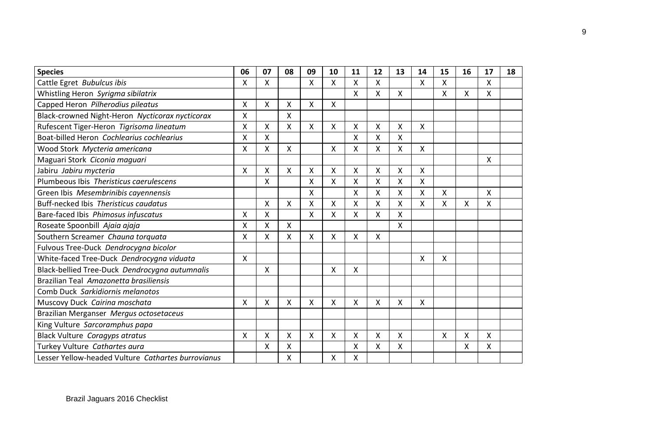| <b>Species</b>                                     | 06 | 07 | 08 | 09      | 10 | 11 | 12 | 13 | 14 | 15 | 16 | 17 | 18 |
|----------------------------------------------------|----|----|----|---------|----|----|----|----|----|----|----|----|----|
| Cattle Egret Bubulcus ibis                         | Χ  | X  |    | X       | x  | X  | X  |    | X  | X  |    | X  |    |
| Whistling Heron Syrigma sibilatrix                 |    |    |    |         |    | X  | X  | X  |    | x  | X  | X  |    |
| Capped Heron Pilherodius pileatus                  | Χ  | X  | x  | X       | x  |    |    |    |    |    |    |    |    |
| Black-crowned Night-Heron Nycticorax nycticorax    | Χ  |    | X. |         |    |    |    |    |    |    |    |    |    |
| Rufescent Tiger-Heron Tigrisoma lineatum           | Χ  | X  | X. | X       | x  | Χ  | X  | Χ  | x  |    |    |    |    |
| Boat-billed Heron Cochlearius cochlearius          | X  | Χ  |    |         |    | Χ  | Χ  | Χ  |    |    |    |    |    |
| Wood Stork Mycteria americana                      | Χ  | Χ  | Χ  |         | X  | Χ  | Χ  | Χ  | Χ  |    |    |    |    |
| Maguari Stork Ciconia maguari                      |    |    |    |         |    |    |    |    |    |    |    | x  |    |
| Jabiru Jabiru mycteria                             | X  | X  | X  | X       | x  | Χ  | X  | x  | X  |    |    |    |    |
| Plumbeous Ibis Theristicus caerulescens            |    | X  |    | X       | X  | X  | X  | Χ  | Χ  |    |    |    |    |
| Green Ibis Mesembrinibis cayennensis               |    |    |    | X       |    | Χ  | X  | Χ  | Χ  | X  |    | X  |    |
| Buff-necked Ibis Theristicus caudatus              |    | X  | X  | X       | Χ  | X  | X  | Χ  | X  | X  | Χ  | X  |    |
| Bare-faced Ibis Phimosus infuscatus                | Χ  | X  |    | X       | x  | x  | Χ  | X  |    |    |    |    |    |
| Roseate Spoonbill Ajaia ajaja                      | Χ  | Χ  | X  |         |    |    |    | Χ  |    |    |    |    |    |
| Southern Screamer Chauna torquata                  | Χ  | Χ  | X  | Χ       | Χ  | Χ  | X  |    |    |    |    |    |    |
| Fulvous Tree-Duck Dendrocygna bicolor              |    |    |    |         |    |    |    |    |    |    |    |    |    |
| White-faced Tree-Duck Dendrocygna viduata          | X  |    |    |         |    |    |    |    | X  | X  |    |    |    |
| Black-bellied Tree-Duck Dendrocygna autumnalis     |    | X  |    |         | X  | Χ  |    |    |    |    |    |    |    |
| Brazilian Teal Amazonetta brasiliensis             |    |    |    |         |    |    |    |    |    |    |    |    |    |
| Comb Duck Sarkidiornis melanotos                   |    |    |    |         |    |    |    |    |    |    |    |    |    |
| Muscovy Duck Cairina moschata                      | X  | X  | X  | X       | X  | X  | X  | X  | X  |    |    |    |    |
| Brazilian Merganser Mergus octosetaceus            |    |    |    |         |    |    |    |    |    |    |    |    |    |
| King Vulture Sarcoramphus papa                     |    |    |    |         |    |    |    |    |    |    |    |    |    |
| Black Vulture Coragyps atratus                     | X  | X  | X  | $\sf X$ | X  | X  | X  | Χ  |    | X  | X  | X  |    |
| Turkey Vulture Cathartes aura                      |    | x  | x  |         |    | Χ  | x  | X. |    |    | X  | X  |    |
| Lesser Yellow-headed Vulture Cathartes burrovianus |    |    | Χ  |         | Χ  | Χ  |    |    |    |    |    |    |    |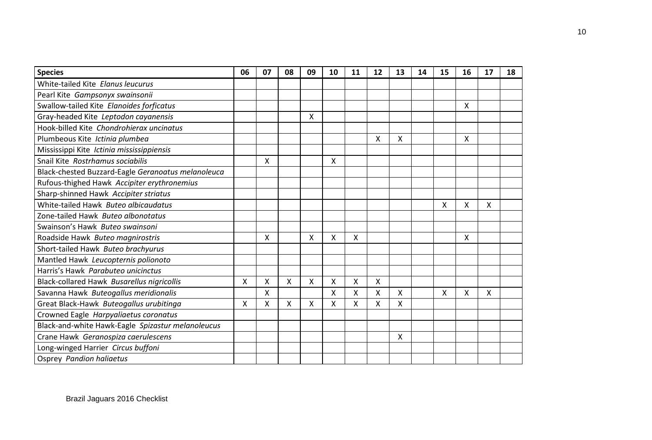| <b>Species</b>                                     | 06 | 07 | 08 | 09 | 10 | 11 | 12                        | 13 | 14 | 15 | 16 | 17 | 18 |
|----------------------------------------------------|----|----|----|----|----|----|---------------------------|----|----|----|----|----|----|
| White-tailed Kite Elanus leucurus                  |    |    |    |    |    |    |                           |    |    |    |    |    |    |
| Pearl Kite Gampsonyx swainsonii                    |    |    |    |    |    |    |                           |    |    |    |    |    |    |
| Swallow-tailed Kite Elanoides forficatus           |    |    |    |    |    |    |                           |    |    |    | X  |    |    |
| Gray-headed Kite Leptodon cayanensis               |    |    |    | X  |    |    |                           |    |    |    |    |    |    |
| Hook-billed Kite Chondrohierax uncinatus           |    |    |    |    |    |    |                           |    |    |    |    |    |    |
| Plumbeous Kite Ictinia plumbea                     |    |    |    |    |    |    | $\times$                  | X  |    |    | Χ  |    |    |
| Mississippi Kite Ictinia mississippiensis          |    |    |    |    |    |    |                           |    |    |    |    |    |    |
| Snail Kite Rostrhamus sociabilis                   |    | X  |    |    | X  |    |                           |    |    |    |    |    |    |
| Black-chested Buzzard-Eagle Geranoatus melanoleuca |    |    |    |    |    |    |                           |    |    |    |    |    |    |
| Rufous-thighed Hawk Accipiter erythronemius        |    |    |    |    |    |    |                           |    |    |    |    |    |    |
| Sharp-shinned Hawk Accipiter striatus              |    |    |    |    |    |    |                           |    |    |    |    |    |    |
| White-tailed Hawk Buteo albicaudatus               |    |    |    |    |    |    |                           |    |    | X  | Χ  | X  |    |
| Zone-tailed Hawk Buteo albonotatus                 |    |    |    |    |    |    |                           |    |    |    |    |    |    |
| Swainson's Hawk Buteo swainsoni                    |    |    |    |    |    |    |                           |    |    |    |    |    |    |
| Roadside Hawk Buteo magnirostris                   |    | X  |    | X  | X  | x  |                           |    |    |    | Χ  |    |    |
| Short-tailed Hawk Buteo brachyurus                 |    |    |    |    |    |    |                           |    |    |    |    |    |    |
| Mantled Hawk Leucopternis polionoto                |    |    |    |    |    |    |                           |    |    |    |    |    |    |
| Harris's Hawk Parabuteo unicinctus                 |    |    |    |    |    |    |                           |    |    |    |    |    |    |
| Black-collared Hawk Busarellus nigricollis         | X  | Χ  | Χ  | X  | Χ  | Χ  | $\boldsymbol{\mathsf{X}}$ |    |    |    |    |    |    |
| Savanna Hawk Buteogallus meridionalis              |    | X  |    |    | X  | X  | X                         | X  |    | X  | Χ  | X  |    |
| Great Black-Hawk Buteogallus urubitinga            | X  | X  | X. | x  | X  | x  | X                         | X  |    |    |    |    |    |
| Crowned Eagle Harpyaliaetus coronatus              |    |    |    |    |    |    |                           |    |    |    |    |    |    |
| Black-and-white Hawk-Eagle Spizastur melanoleucus  |    |    |    |    |    |    |                           |    |    |    |    |    |    |
| Crane Hawk Geranospiza caerulescens                |    |    |    |    |    |    |                           | X  |    |    |    |    |    |
| Long-winged Harrier Circus buffoni                 |    |    |    |    |    |    |                           |    |    |    |    |    |    |
| <b>Osprey Pandion haliaetus</b>                    |    |    |    |    |    |    |                           |    |    |    |    |    |    |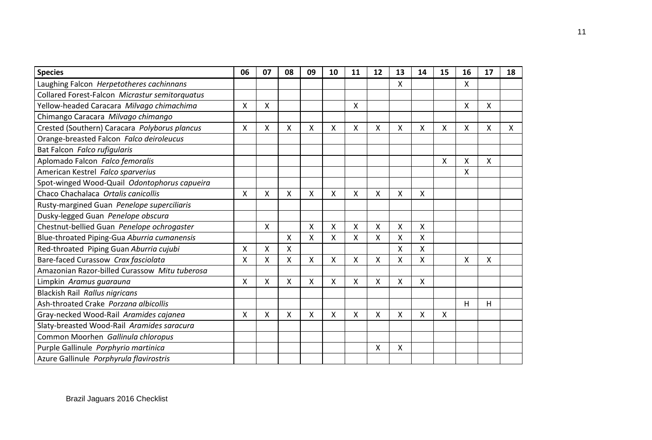| <b>Species</b>                                 | 06 | 07 | 08 | 09 | 10 | 11 | 12                        | 13 | 14 | 15 | 16 | 17           | 18 |
|------------------------------------------------|----|----|----|----|----|----|---------------------------|----|----|----|----|--------------|----|
| Laughing Falcon Herpetotheres cachinnans       |    |    |    |    |    |    |                           | X  |    |    | X  |              |    |
| Collared Forest-Falcon Micrastur semitorquatus |    |    |    |    |    |    |                           |    |    |    |    |              |    |
| Yellow-headed Caracara Milvago chimachima      | X  | X  |    |    |    | Χ  |                           |    |    |    | Χ  | $\mathsf{X}$ |    |
| Chimango Caracara Milvago chimango             |    |    |    |    |    |    |                           |    |    |    |    |              |    |
| Crested (Southern) Caracara Polyborus plancus  | X  | X  | x  | Χ  | X  | Χ  | X                         | X  | X  | X  | Χ  | X            | X  |
| Orange-breasted Falcon Falco deiroleucus       |    |    |    |    |    |    |                           |    |    |    |    |              |    |
| Bat Falcon Falco rufigularis                   |    |    |    |    |    |    |                           |    |    |    |    |              |    |
| Aplomado Falcon Falco femoralis                |    |    |    |    |    |    |                           |    |    | X  | Χ  | X            |    |
| American Kestrel Falco sparverius              |    |    |    |    |    |    |                           |    |    |    | X  |              |    |
| Spot-winged Wood-Quail Odontophorus capueira   |    |    |    |    |    |    |                           |    |    |    |    |              |    |
| Chaco Chachalaca Ortalis canicollis            | Χ  | Χ  | x  | Χ  | X  | Χ  | X                         | X  | Χ  |    |    |              |    |
| Rusty-margined Guan Penelope superciliaris     |    |    |    |    |    |    |                           |    |    |    |    |              |    |
| Dusky-legged Guan Penelope obscura             |    |    |    |    |    |    |                           |    |    |    |    |              |    |
| Chestnut-bellied Guan Penelope ochrogaster     |    | X  |    | Χ  | Χ  | Χ  | $\boldsymbol{\mathsf{X}}$ | X  | Χ  |    |    |              |    |
| Blue-throated Piping-Gua Aburria cumanensis    |    |    | X  | X  | X  | X  | $\boldsymbol{\mathsf{X}}$ | X  | X  |    |    |              |    |
| Red-throated Piping Guan Aburria cujubi        | X  | X  | X  |    |    |    |                           | X  | X  |    |    |              |    |
| Bare-faced Curassow Crax fasciolata            | X  | Χ  | x  | Χ  | X  | Χ  | X                         | X  | X  |    | X  | X            |    |
| Amazonian Razor-billed Curassow Mitu tuberosa  |    |    |    |    |    |    |                           |    |    |    |    |              |    |
| Limpkin Aramus guarauna                        | X  | X  | X  | X  | X  | X  | $\boldsymbol{\mathsf{X}}$ | X  | X  |    |    |              |    |
| Blackish Rail Rallus nigricans                 |    |    |    |    |    |    |                           |    |    |    |    |              |    |
| Ash-throated Crake Porzana albicollis          |    |    |    |    |    |    |                           |    |    |    | H  | H            |    |
| Gray-necked Wood-Rail Aramides cajanea         | X  | X  | X  | Χ  | X  | Χ  | X                         | X  | X  | X  |    |              |    |
| Slaty-breasted Wood-Rail Aramides saracura     |    |    |    |    |    |    |                           |    |    |    |    |              |    |
| Common Moorhen Gallinula chloropus             |    |    |    |    |    |    |                           |    |    |    |    |              |    |
| Purple Gallinule Porphyrio martinica           |    |    |    |    |    |    | X                         | X  |    |    |    |              |    |
| Azure Gallinule Porphyrula flavirostris        |    |    |    |    |    |    |                           |    |    |    |    |              |    |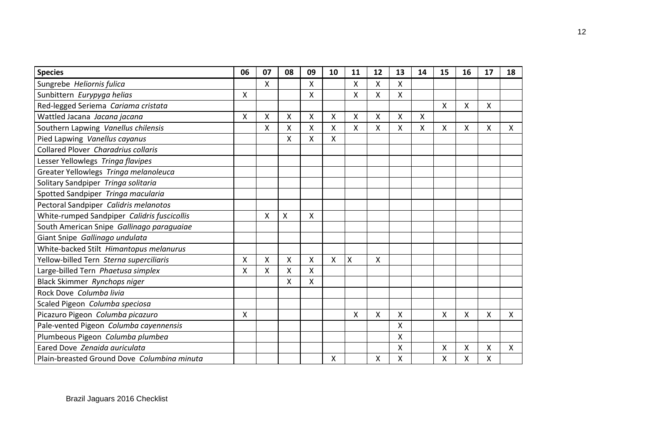| <b>Species</b>                              | 06 | 07 | 08 | 09              | 10 | 11 | 12 | 13 | 14 | 15 | 16 | 17 | 18           |
|---------------------------------------------|----|----|----|-----------------|----|----|----|----|----|----|----|----|--------------|
| Sungrebe Heliornis fulica                   |    | X  |    | X               |    | X  | X  | X  |    |    |    |    |              |
| Sunbittern Eurypyga helias                  | Χ  |    |    | Χ               |    | Χ  | Χ  | x  |    |    |    |    |              |
| Red-legged Seriema Cariama cristata         |    |    |    |                 |    |    |    |    |    | X  | X  | X  |              |
| Wattled Jacana Jacana jacana                | X  | X  | Χ  | $\mathsf{\chi}$ | X  | X  | X  | X  | X  |    |    |    |              |
| Southern Lapwing Vanellus chilensis         |    | X  | X  | X               | Χ  | X  | X  | X  | Χ  | X  | X  | X  | X            |
| Pied Lapwing Vanellus cayanus               |    |    | Χ  | Χ               | Χ  |    |    |    |    |    |    |    |              |
| Collared Plover Charadrius collaris         |    |    |    |                 |    |    |    |    |    |    |    |    |              |
| Lesser Yellowlegs Tringa flavipes           |    |    |    |                 |    |    |    |    |    |    |    |    |              |
| Greater Yellowlegs Tringa melanoleuca       |    |    |    |                 |    |    |    |    |    |    |    |    |              |
| Solitary Sandpiper Tringa solitaria         |    |    |    |                 |    |    |    |    |    |    |    |    |              |
| Spotted Sandpiper Tringa macularia          |    |    |    |                 |    |    |    |    |    |    |    |    |              |
| Pectoral Sandpiper Calidris melanotos       |    |    |    |                 |    |    |    |    |    |    |    |    |              |
| White-rumped Sandpiper Calidris fuscicollis |    | X  | X  | Χ               |    |    |    |    |    |    |    |    |              |
| South American Snipe Gallinago paraguaiae   |    |    |    |                 |    |    |    |    |    |    |    |    |              |
| Giant Snipe Gallinago undulata              |    |    |    |                 |    |    |    |    |    |    |    |    |              |
| White-backed Stilt Himantopus melanurus     |    |    |    |                 |    |    |    |    |    |    |    |    |              |
| Yellow-billed Tern Sterna superciliaris     | Χ  | Χ  | X  | X               | Χ  | X  | X  |    |    |    |    |    |              |
| Large-billed Tern Phaetusa simplex          | X  | Χ  | Χ  | X               |    |    |    |    |    |    |    |    |              |
| Black Skimmer Rynchops niger                |    |    | X  | X               |    |    |    |    |    |    |    |    |              |
| Rock Dove Columba livia                     |    |    |    |                 |    |    |    |    |    |    |    |    |              |
| Scaled Pigeon Columba speciosa              |    |    |    |                 |    |    |    |    |    |    |    |    |              |
| Picazuro Pigeon Columba picazuro            | Χ  |    |    |                 |    | Χ  | Χ  | Χ  |    | X  | X  | X  | $\mathsf{x}$ |
| Pale-vented Pigeon Columba cayennensis      |    |    |    |                 |    |    |    | X  |    |    |    |    |              |
| Plumbeous Pigeon Columba plumbea            |    |    |    |                 |    |    |    | Χ  |    |    |    |    |              |
| Eared Dove Zenaida auriculata               |    |    |    |                 |    |    |    | x  |    | Χ  | X  | X  | x            |
| Plain-breasted Ground Dove Columbina minuta |    |    |    |                 | Χ  |    | Χ  | Χ  |    | Χ  | Χ  | X  |              |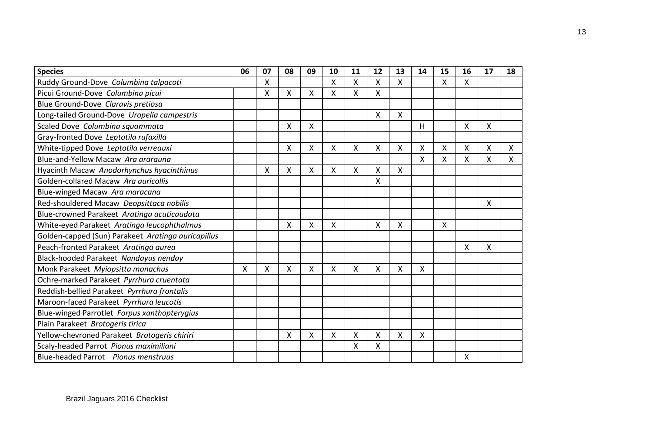| <b>Species</b>                                     | 06 | 07 | 08 | 09 | 10 | 11 | 12 | 13 | 14 | 15 | 16 | 17 | 18 |
|----------------------------------------------------|----|----|----|----|----|----|----|----|----|----|----|----|----|
| Ruddy Ground-Dove Columbina talpacoti              |    | x  |    |    | X  | X  | X  | X  |    | X  | X  |    |    |
| Picui Ground-Dove Columbina picui                  |    | X  | x  | X  | X  | X  | X  |    |    |    |    |    |    |
| Blue Ground-Dove Claravis pretiosa                 |    |    |    |    |    |    |    |    |    |    |    |    |    |
| Long-tailed Ground-Dove Uropelia campestris        |    |    |    |    |    |    | X  | Χ  |    |    |    |    |    |
| Scaled Dove Columbina squammata                    |    |    | x  | x  |    |    |    |    | н  |    | X  | x  |    |
| Gray-fronted Dove Leptotila rufaxilla              |    |    |    |    |    |    |    |    |    |    |    |    |    |
| White-tipped Dove Leptotila verreauxi              |    |    | Χ  | X  | X  | Χ  | X  | Χ  | X  | Χ  | X  | X  | X  |
| Blue-and-Yellow Macaw Ara ararauna                 |    |    |    |    |    |    |    |    | X  | x  | Χ  | X  | X  |
| Hyacinth Macaw Anodorhynchus hyacinthinus          |    | X  | X  | X  | x  | X  | X  | X  |    |    |    |    |    |
| Golden-collared Macaw Ara auricollis               |    |    |    |    |    |    | Χ  |    |    |    |    |    |    |
| Blue-winged Macaw Ara maracana                     |    |    |    |    |    |    |    |    |    |    |    |    |    |
| Red-shouldered Macaw Deopsittaca nobilis           |    |    |    |    |    |    |    |    |    |    |    | x  |    |
| Blue-crowned Parakeet Aratinga acuticaudata        |    |    |    |    |    |    |    |    |    |    |    |    |    |
| White-eyed Parakeet Aratinga leucophthalmus        |    |    | x  | X  | X  |    | X  | x  |    | X  |    |    |    |
| Golden-capped (Sun) Parakeet Aratinga auricapillus |    |    |    |    |    |    |    |    |    |    |    |    |    |
| Peach-fronted Parakeet Aratinga aurea              |    |    |    |    |    |    |    |    |    |    | Χ  | Χ  |    |
| Black-hooded Parakeet Nandayus nenday              |    |    |    |    |    |    |    |    |    |    |    |    |    |
| Monk Parakeet Myiopsitta monachus                  | Χ  | Χ  | Χ  | X  | X  | Χ  | Χ  | Χ  | Χ  |    |    |    |    |
| Ochre-marked Parakeet Pyrrhura cruentata           |    |    |    |    |    |    |    |    |    |    |    |    |    |
| Reddish-bellied Parakeet Pyrrhura frontalis        |    |    |    |    |    |    |    |    |    |    |    |    |    |
| Maroon-faced Parakeet Pyrrhura leucotis            |    |    |    |    |    |    |    |    |    |    |    |    |    |
| Blue-winged Parrotlet Forpus xanthopterygius       |    |    |    |    |    |    |    |    |    |    |    |    |    |
| Plain Parakeet Brotogeris tirica                   |    |    |    |    |    |    |    |    |    |    |    |    |    |
| Yellow-chevroned Parakeet Brotogeris chiriri       |    |    | Χ  | X  | X  | X  | X  | X  | X  |    |    |    |    |
| Scaly-headed Parrot Pionus maximiliani             |    |    |    |    |    | X  | X  |    |    |    |    |    |    |
| Blue-headed Parrot Pionus menstruus                |    |    |    |    |    |    |    |    |    |    | x  |    |    |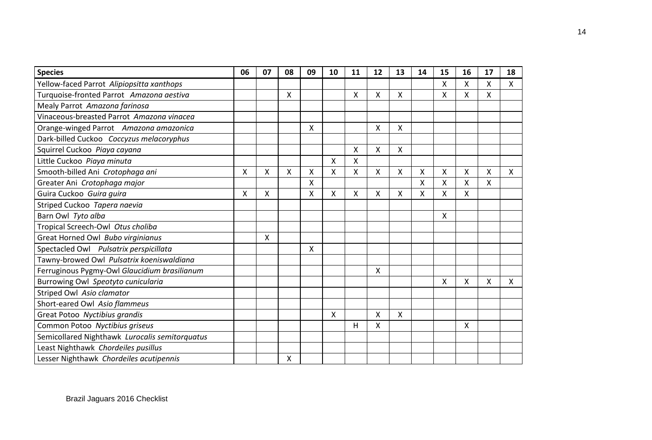| <b>Species</b>                                 | 06 | 07 | 08 | 09 | 10 | 11 | 12                        | 13 | 14 | 15 | 16 | 17 | 18           |
|------------------------------------------------|----|----|----|----|----|----|---------------------------|----|----|----|----|----|--------------|
| Yellow-faced Parrot Alipiopsitta xanthops      |    |    |    |    |    |    |                           |    |    | X  | Χ  | X  | X            |
| Turquoise-fronted Parrot Amazona aestiva       |    |    | X  |    |    | X  | X                         | X  |    | x  | Χ  | X  |              |
| Mealy Parrot Amazona farinosa                  |    |    |    |    |    |    |                           |    |    |    |    |    |              |
| Vinaceous-breasted Parrot Amazona vinacea      |    |    |    |    |    |    |                           |    |    |    |    |    |              |
| Orange-winged Parrot Amazona amazonica         |    |    |    | x  |    |    | X                         | X  |    |    |    |    |              |
| Dark-billed Cuckoo Coccyzus melacoryphus       |    |    |    |    |    |    |                           |    |    |    |    |    |              |
| Squirrel Cuckoo Piaya cayana                   |    |    |    |    |    | X  | $\boldsymbol{\mathsf{X}}$ | X  |    |    |    |    |              |
| Little Cuckoo Piaya minuta                     |    |    |    |    | X  | X  |                           |    |    |    |    |    |              |
| Smooth-billed Ani Crotophaga ani               | X  | X  | X  | Χ  | X  | X  | $\boldsymbol{\mathsf{X}}$ | X  | X  | X  | Χ  | X  | $\mathsf{x}$ |
| Greater Ani Crotophaga major                   |    |    |    | X  |    |    |                           |    | X  | X  | Χ  | X  |              |
| Guira Cuckoo Guira guira                       | Χ  | X  |    | Χ  | X  | X  | X                         | Χ  | X  | X  | Χ  |    |              |
| Striped Cuckoo Tapera naevia                   |    |    |    |    |    |    |                           |    |    |    |    |    |              |
| Barn Owl Tyto alba                             |    |    |    |    |    |    |                           |    |    | X  |    |    |              |
| Tropical Screech-Owl Otus choliba              |    |    |    |    |    |    |                           |    |    |    |    |    |              |
| Great Horned Owl Bubo virginianus              |    | X  |    |    |    |    |                           |    |    |    |    |    |              |
| Spectacled Owl Pulsatrix perspicillata         |    |    |    | Χ  |    |    |                           |    |    |    |    |    |              |
| Tawny-browed Owl Pulsatrix koeniswaldiana      |    |    |    |    |    |    |                           |    |    |    |    |    |              |
| Ferruginous Pygmy-Owl Glaucidium brasilianum   |    |    |    |    |    |    | $\boldsymbol{\mathsf{X}}$ |    |    |    |    |    |              |
| Burrowing Owl Speotyto cunicularia             |    |    |    |    |    |    |                           |    |    | X  | Χ  | X  | X            |
| Striped Owl Asio clamator                      |    |    |    |    |    |    |                           |    |    |    |    |    |              |
| Short-eared Owl Asio flammeus                  |    |    |    |    |    |    |                           |    |    |    |    |    |              |
| Great Potoo Nyctibius grandis                  |    |    |    |    | X  |    | X                         | X  |    |    |    |    |              |
| Common Potoo Nyctibius griseus                 |    |    |    |    |    | н  | X                         |    |    |    | Χ  |    |              |
| Semicollared Nighthawk Lurocalis semitorquatus |    |    |    |    |    |    |                           |    |    |    |    |    |              |
| Least Nighthawk Chordeiles pusillus            |    |    |    |    |    |    |                           |    |    |    |    |    |              |
| Lesser Nighthawk Chordeiles acutipennis        |    |    | x  |    |    |    |                           |    |    |    |    |    |              |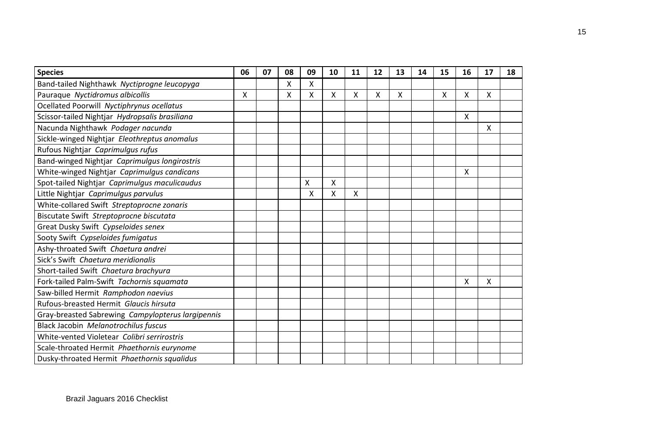| <b>Species</b>                                    | 06 | 07 | 08 | 09 | 10 | 11 | 12 | 13 | 14 | 15 | 16 | 17 | 18 |
|---------------------------------------------------|----|----|----|----|----|----|----|----|----|----|----|----|----|
| Band-tailed Nighthawk Nyctiprogne leucopyga       |    |    | x  | x  |    |    |    |    |    |    |    |    |    |
| Pauraque Nyctidromus albicollis                   | X  |    | Χ  | Χ  | x  | Χ  | X  | X  |    | X  | Χ  | X  |    |
| Ocellated Poorwill Nyctiphrynus ocellatus         |    |    |    |    |    |    |    |    |    |    |    |    |    |
| Scissor-tailed Nightjar Hydropsalis brasiliana    |    |    |    |    |    |    |    |    |    |    | Χ  |    |    |
| Nacunda Nighthawk Podager nacunda                 |    |    |    |    |    |    |    |    |    |    |    | X  |    |
| Sickle-winged Nightjar Eleothreptus anomalus      |    |    |    |    |    |    |    |    |    |    |    |    |    |
| Rufous Nightjar Caprimulgus rufus                 |    |    |    |    |    |    |    |    |    |    |    |    |    |
| Band-winged Nightjar Caprimulgus longirostris     |    |    |    |    |    |    |    |    |    |    |    |    |    |
| White-winged Nightjar Caprimulgus candicans       |    |    |    |    |    |    |    |    |    |    | x  |    |    |
| Spot-tailed Nightjar Caprimulgus maculicaudus     |    |    |    | X  | X  |    |    |    |    |    |    |    |    |
| Little Nightjar Caprimulgus parvulus              |    |    |    | Χ  | X  | X  |    |    |    |    |    |    |    |
| White-collared Swift Streptoprocne zonaris        |    |    |    |    |    |    |    |    |    |    |    |    |    |
| Biscutate Swift Streptoprocne biscutata           |    |    |    |    |    |    |    |    |    |    |    |    |    |
| Great Dusky Swift Cypseloides senex               |    |    |    |    |    |    |    |    |    |    |    |    |    |
| Sooty Swift Cypseloides fumigatus                 |    |    |    |    |    |    |    |    |    |    |    |    |    |
| Ashy-throated Swift Chaetura andrei               |    |    |    |    |    |    |    |    |    |    |    |    |    |
| Sick's Swift Chaetura meridionalis                |    |    |    |    |    |    |    |    |    |    |    |    |    |
| Short-tailed Swift Chaetura brachyura             |    |    |    |    |    |    |    |    |    |    |    |    |    |
| Fork-tailed Palm-Swift Tachornis squamata         |    |    |    |    |    |    |    |    |    |    | x  | x  |    |
| Saw-billed Hermit Ramphodon naevius               |    |    |    |    |    |    |    |    |    |    |    |    |    |
| Rufous-breasted Hermit Glaucis hirsuta            |    |    |    |    |    |    |    |    |    |    |    |    |    |
| Gray-breasted Sabrewing Campylopterus largipennis |    |    |    |    |    |    |    |    |    |    |    |    |    |
| Black Jacobin Melanotrochilus fuscus              |    |    |    |    |    |    |    |    |    |    |    |    |    |
| White-vented Violetear Colibri serrirostris       |    |    |    |    |    |    |    |    |    |    |    |    |    |
| Scale-throated Hermit Phaethornis eurynome        |    |    |    |    |    |    |    |    |    |    |    |    |    |
| Dusky-throated Hermit Phaethornis squalidus       |    |    |    |    |    |    |    |    |    |    |    |    |    |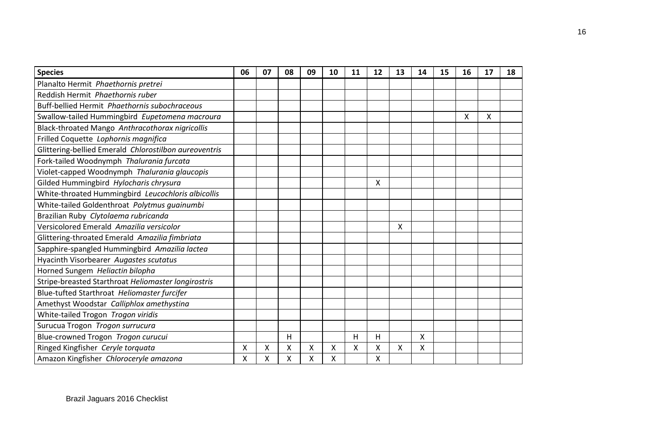| <b>Species</b>                                        | 06 | 07 | 08 | 09 | 10 | 11 | 12 | 13 | 14 | 15 | 16 | 17 | 18 |
|-------------------------------------------------------|----|----|----|----|----|----|----|----|----|----|----|----|----|
| Planalto Hermit Phaethornis pretrei                   |    |    |    |    |    |    |    |    |    |    |    |    |    |
| Reddish Hermit Phaethornis ruber                      |    |    |    |    |    |    |    |    |    |    |    |    |    |
| Buff-bellied Hermit Phaethornis subochraceous         |    |    |    |    |    |    |    |    |    |    |    |    |    |
| Swallow-tailed Hummingbird Eupetomena macroura        |    |    |    |    |    |    |    |    |    |    | Χ  | X  |    |
| Black-throated Mango Anthracothorax nigricollis       |    |    |    |    |    |    |    |    |    |    |    |    |    |
| Frilled Coquette Lophornis magnifica                  |    |    |    |    |    |    |    |    |    |    |    |    |    |
| Glittering-bellied Emerald Chlorostilbon aureoventris |    |    |    |    |    |    |    |    |    |    |    |    |    |
| Fork-tailed Woodnymph Thalurania furcata              |    |    |    |    |    |    |    |    |    |    |    |    |    |
| Violet-capped Woodnymph Thalurania glaucopis          |    |    |    |    |    |    |    |    |    |    |    |    |    |
| Gilded Hummingbird Hylocharis chrysura                |    |    |    |    |    |    | X  |    |    |    |    |    |    |
| White-throated Hummingbird Leucochloris albicollis    |    |    |    |    |    |    |    |    |    |    |    |    |    |
| White-tailed Goldenthroat Polytmus guainumbi          |    |    |    |    |    |    |    |    |    |    |    |    |    |
| Brazilian Ruby Clytolaema rubricanda                  |    |    |    |    |    |    |    |    |    |    |    |    |    |
| Versicolored Emerald Amazilia versicolor              |    |    |    |    |    |    |    | X  |    |    |    |    |    |
| Glittering-throated Emerald Amazilia fimbriata        |    |    |    |    |    |    |    |    |    |    |    |    |    |
| Sapphire-spangled Hummingbird Amazilia lactea         |    |    |    |    |    |    |    |    |    |    |    |    |    |
| Hyacinth Visorbearer Augastes scutatus                |    |    |    |    |    |    |    |    |    |    |    |    |    |
| Horned Sungem Heliactin bilopha                       |    |    |    |    |    |    |    |    |    |    |    |    |    |
| Stripe-breasted Starthroat Heliomaster longirostris   |    |    |    |    |    |    |    |    |    |    |    |    |    |
| Blue-tufted Starthroat Heliomaster furcifer           |    |    |    |    |    |    |    |    |    |    |    |    |    |
| Amethyst Woodstar Calliphlox amethystina              |    |    |    |    |    |    |    |    |    |    |    |    |    |
| White-tailed Trogon Trogon viridis                    |    |    |    |    |    |    |    |    |    |    |    |    |    |
| Surucua Trogon Trogon surrucura                       |    |    |    |    |    |    |    |    |    |    |    |    |    |
| Blue-crowned Trogon Trogon curucui                    |    |    | Η  |    |    | Н  | н  |    | Χ  |    |    |    |    |
| Ringed Kingfisher Ceryle torquata                     | Χ  | Χ  | x  | Χ  | X  | X  | Χ  | X  | X  |    |    |    |    |
| Amazon Kingfisher Chloroceryle amazona                | x  | Χ  | x  | Χ  | X  |    | X  |    |    |    |    |    |    |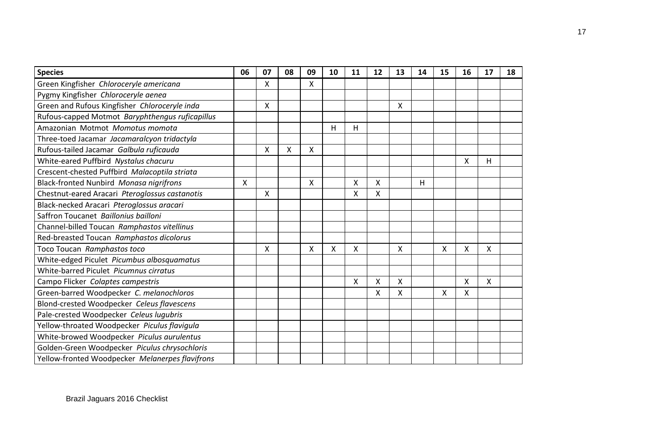| <b>Species</b>                                  | 06 | 07 | 08 | 09 | 10 | 11 | 12 | 13 | 14 | 15 | 16 | 17 | 18 |
|-------------------------------------------------|----|----|----|----|----|----|----|----|----|----|----|----|----|
| Green Kingfisher Chloroceryle americana         |    | X  |    | X  |    |    |    |    |    |    |    |    |    |
| Pygmy Kingfisher Chloroceryle aenea             |    |    |    |    |    |    |    |    |    |    |    |    |    |
| Green and Rufous Kingfisher Chloroceryle inda   |    | X  |    |    |    |    |    | X  |    |    |    |    |    |
| Rufous-capped Motmot Baryphthengus ruficapillus |    |    |    |    |    |    |    |    |    |    |    |    |    |
| Amazonian Motmot Momotus momota                 |    |    |    |    | н  | Н  |    |    |    |    |    |    |    |
| Three-toed Jacamar Jacamaralcyon tridactyla     |    |    |    |    |    |    |    |    |    |    |    |    |    |
| Rufous-tailed Jacamar Galbula ruficauda         |    | X  | X  | X  |    |    |    |    |    |    |    |    |    |
| White-eared Puffbird Nystalus chacuru           |    |    |    |    |    |    |    |    |    |    | X  | Н  |    |
| Crescent-chested Puffbird Malacoptila striata   |    |    |    |    |    |    |    |    |    |    |    |    |    |
| Black-fronted Nunbird Monasa nigrifrons         | Χ  |    |    | Χ  |    | Χ  | X  |    | Н  |    |    |    |    |
| Chestnut-eared Aracari Pteroglossus castanotis  |    | X  |    |    |    | Χ  | X  |    |    |    |    |    |    |
| Black-necked Aracari Pteroglossus aracari       |    |    |    |    |    |    |    |    |    |    |    |    |    |
| Saffron Toucanet Baillonius bailloni            |    |    |    |    |    |    |    |    |    |    |    |    |    |
| Channel-billed Toucan Ramphastos vitellinus     |    |    |    |    |    |    |    |    |    |    |    |    |    |
| Red-breasted Toucan Ramphastos dicolorus        |    |    |    |    |    |    |    |    |    |    |    |    |    |
| Toco Toucan Ramphastos toco                     |    | X  |    | X  | X  | X  |    | X  |    | X  | Χ  | X  |    |
| White-edged Piculet Picumbus albosquamatus      |    |    |    |    |    |    |    |    |    |    |    |    |    |
| White-barred Piculet Picumnus cirratus          |    |    |    |    |    |    |    |    |    |    |    |    |    |
| Campo Flicker Colaptes campestris               |    |    |    |    |    | Χ  | X  | x  |    |    | X  | X  |    |
| Green-barred Woodpecker C. melanochloros        |    |    |    |    |    |    | X  | X  |    | X  | X  |    |    |
| Blond-crested Woodpecker Celeus flavescens      |    |    |    |    |    |    |    |    |    |    |    |    |    |
| Pale-crested Woodpecker Celeus lugubris         |    |    |    |    |    |    |    |    |    |    |    |    |    |
| Yellow-throated Woodpecker Piculus flavigula    |    |    |    |    |    |    |    |    |    |    |    |    |    |
| White-browed Woodpecker Piculus aurulentus      |    |    |    |    |    |    |    |    |    |    |    |    |    |
| Golden-Green Woodpecker Piculus chrysochloris   |    |    |    |    |    |    |    |    |    |    |    |    |    |
| Yellow-fronted Woodpecker Melanerpes flavifrons |    |    |    |    |    |    |    |    |    |    |    |    |    |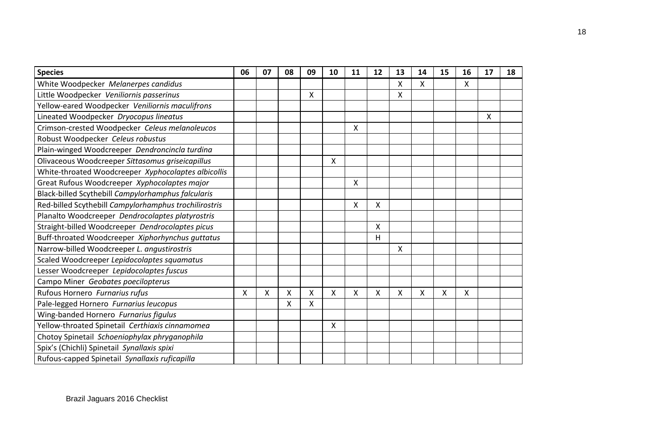| <b>Species</b>                                        | 06 | 07 | 08 | 09 | 10 | 11 | 12       | 13 | 14 | 15 | 16 | 17 | 18 |
|-------------------------------------------------------|----|----|----|----|----|----|----------|----|----|----|----|----|----|
| White Woodpecker Melanerpes candidus                  |    |    |    |    |    |    |          | X  | X  |    | X  |    |    |
| Little Woodpecker Veniliornis passerinus              |    |    |    | X  |    |    |          | X  |    |    |    |    |    |
| Yellow-eared Woodpecker Veniliornis maculifrons       |    |    |    |    |    |    |          |    |    |    |    |    |    |
| Lineated Woodpecker Dryocopus lineatus                |    |    |    |    |    |    |          |    |    |    |    | X  |    |
| Crimson-crested Woodpecker Celeus melanoleucos        |    |    |    |    |    | X  |          |    |    |    |    |    |    |
| Robust Woodpecker Celeus robustus                     |    |    |    |    |    |    |          |    |    |    |    |    |    |
| Plain-winged Woodcreeper Dendroncincla turdina        |    |    |    |    |    |    |          |    |    |    |    |    |    |
| Olivaceous Woodcreeper Sittasomus griseicapillus      |    |    |    |    | X  |    |          |    |    |    |    |    |    |
| White-throated Woodcreeper Xyphocolaptes albicollis   |    |    |    |    |    |    |          |    |    |    |    |    |    |
| Great Rufous Woodcreeper Xyphocolaptes major          |    |    |    |    |    | x  |          |    |    |    |    |    |    |
| Black-billed Scythebill Campylorhamphus falcularis    |    |    |    |    |    |    |          |    |    |    |    |    |    |
| Red-billed Scythebill Campylorhamphus trochilirostris |    |    |    |    |    | X  | $\sf X$  |    |    |    |    |    |    |
| Planalto Woodcreeper Dendrocolaptes platyrostris      |    |    |    |    |    |    |          |    |    |    |    |    |    |
| Straight-billed Woodcreeper Dendrocolaptes picus      |    |    |    |    |    |    | $\times$ |    |    |    |    |    |    |
| Buff-throated Woodcreeper Xiphorhynchus guttatus      |    |    |    |    |    |    | H        |    |    |    |    |    |    |
| Narrow-billed Woodcreeper L. angustirostris           |    |    |    |    |    |    |          | X  |    |    |    |    |    |
| Scaled Woodcreeper Lepidocolaptes squamatus           |    |    |    |    |    |    |          |    |    |    |    |    |    |
| Lesser Woodcreeper Lepidocolaptes fuscus              |    |    |    |    |    |    |          |    |    |    |    |    |    |
| Campo Miner Geobates poecilopterus                    |    |    |    |    |    |    |          |    |    |    |    |    |    |
| Rufous Hornero Furnarius rufus                        | Χ  | X  | Χ  | X  | Χ  | X  | X        | Χ  | X  | Χ  | Χ  |    |    |
| Pale-legged Hornero Furnarius leucopus                |    |    | X  | Χ  |    |    |          |    |    |    |    |    |    |
| Wing-banded Hornero Furnarius figulus                 |    |    |    |    |    |    |          |    |    |    |    |    |    |
| Yellow-throated Spinetail Certhiaxis cinnamomea       |    |    |    |    | X  |    |          |    |    |    |    |    |    |
| Chotoy Spinetail Schoeniophylax phryganophila         |    |    |    |    |    |    |          |    |    |    |    |    |    |
| Spix's (Chichli) Spinetail Synallaxis spixi           |    |    |    |    |    |    |          |    |    |    |    |    |    |
| Rufous-capped Spinetail Synallaxis ruficapilla        |    |    |    |    |    |    |          |    |    |    |    |    |    |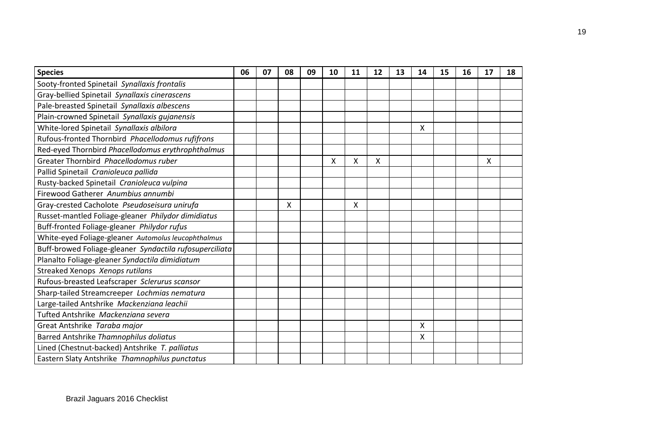| <b>Species</b>                                          | 06 | 07 | 08 | 09 | 10 | 11 | 12 | 13 | 14 | 15 | 16 | 17 | 18 |
|---------------------------------------------------------|----|----|----|----|----|----|----|----|----|----|----|----|----|
| Sooty-fronted Spinetail Synallaxis frontalis            |    |    |    |    |    |    |    |    |    |    |    |    |    |
| Gray-bellied Spinetail Synallaxis cinerascens           |    |    |    |    |    |    |    |    |    |    |    |    |    |
| Pale-breasted Spinetail Synallaxis albescens            |    |    |    |    |    |    |    |    |    |    |    |    |    |
| Plain-crowned Spinetail Synallaxis gujanensis           |    |    |    |    |    |    |    |    |    |    |    |    |    |
| White-lored Spinetail Synallaxis albilora               |    |    |    |    |    |    |    |    | X  |    |    |    |    |
| Rufous-fronted Thornbird Phacellodomus rufifrons        |    |    |    |    |    |    |    |    |    |    |    |    |    |
| Red-eyed Thornbird Phacellodomus erythrophthalmus       |    |    |    |    |    |    |    |    |    |    |    |    |    |
| Greater Thornbird Phacellodomus ruber                   |    |    |    |    | X  | X  | X  |    |    |    |    | X  |    |
| Pallid Spinetail Cranioleuca pallida                    |    |    |    |    |    |    |    |    |    |    |    |    |    |
| Rusty-backed Spinetail Cranioleuca vulpina              |    |    |    |    |    |    |    |    |    |    |    |    |    |
| Firewood Gatherer Anumbius annumbi                      |    |    |    |    |    |    |    |    |    |    |    |    |    |
| Gray-crested Cacholote Pseudoseisura unirufa            |    |    | Χ  |    |    | X  |    |    |    |    |    |    |    |
| Russet-mantled Foliage-gleaner Philydor dimidiatus      |    |    |    |    |    |    |    |    |    |    |    |    |    |
| Buff-fronted Foliage-gleaner Philydor rufus             |    |    |    |    |    |    |    |    |    |    |    |    |    |
| White-eyed Foliage-gleaner Automolus leucophthalmus     |    |    |    |    |    |    |    |    |    |    |    |    |    |
| Buff-browed Foliage-gleaner Syndactila rufosuperciliata |    |    |    |    |    |    |    |    |    |    |    |    |    |
| Planalto Foliage-gleaner Syndactila dimidiatum          |    |    |    |    |    |    |    |    |    |    |    |    |    |
| Streaked Xenops Xenops rutilans                         |    |    |    |    |    |    |    |    |    |    |    |    |    |
| Rufous-breasted Leafscraper Sclerurus scansor           |    |    |    |    |    |    |    |    |    |    |    |    |    |
| Sharp-tailed Streamcreeper Lochmias nematura            |    |    |    |    |    |    |    |    |    |    |    |    |    |
| Large-tailed Antshrike Mackenziana leachii              |    |    |    |    |    |    |    |    |    |    |    |    |    |
| Tufted Antshrike Mackenziana severa                     |    |    |    |    |    |    |    |    |    |    |    |    |    |
| Great Antshrike Taraba major                            |    |    |    |    |    |    |    |    | X  |    |    |    |    |
| Barred Antshrike Thamnophilus doliatus                  |    |    |    |    |    |    |    |    | Χ  |    |    |    |    |
| Lined (Chestnut-backed) Antshrike T. palliatus          |    |    |    |    |    |    |    |    |    |    |    |    |    |
| Eastern Slaty Antshrike Thamnophilus punctatus          |    |    |    |    |    |    |    |    |    |    |    |    |    |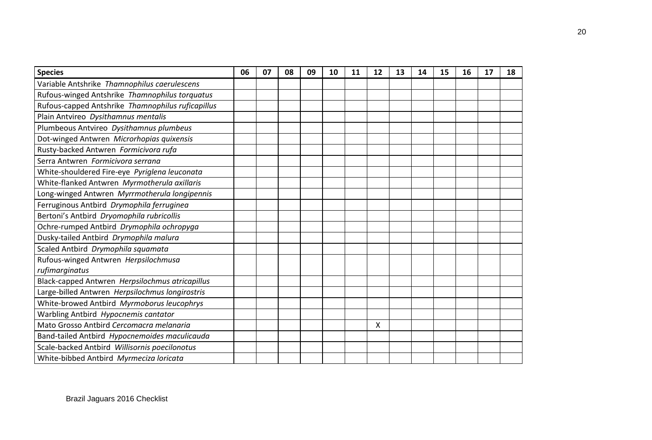| <b>Species</b>                                    | 06 | 07 | 08 | 09 | 10 | 11 | 12 | 13 | 14 | 15 | 16 | 17 | 18 |
|---------------------------------------------------|----|----|----|----|----|----|----|----|----|----|----|----|----|
| Variable Antshrike Thamnophilus caerulescens      |    |    |    |    |    |    |    |    |    |    |    |    |    |
| Rufous-winged Antshrike Thamnophilus torquatus    |    |    |    |    |    |    |    |    |    |    |    |    |    |
| Rufous-capped Antshrike Thamnophilus ruficapillus |    |    |    |    |    |    |    |    |    |    |    |    |    |
| Plain Antvireo Dysithamnus mentalis               |    |    |    |    |    |    |    |    |    |    |    |    |    |
| Plumbeous Antvireo Dysithamnus plumbeus           |    |    |    |    |    |    |    |    |    |    |    |    |    |
| Dot-winged Antwren Microrhopias quixensis         |    |    |    |    |    |    |    |    |    |    |    |    |    |
| Rusty-backed Antwren Formicivora rufa             |    |    |    |    |    |    |    |    |    |    |    |    |    |
| Serra Antwren Formicivora serrana                 |    |    |    |    |    |    |    |    |    |    |    |    |    |
| White-shouldered Fire-eye Pyriglena leuconata     |    |    |    |    |    |    |    |    |    |    |    |    |    |
| White-flanked Antwren Myrmotherula axillaris      |    |    |    |    |    |    |    |    |    |    |    |    |    |
| Long-winged Antwren Myrrmotherula longipennis     |    |    |    |    |    |    |    |    |    |    |    |    |    |
| Ferruginous Antbird Drymophila ferruginea         |    |    |    |    |    |    |    |    |    |    |    |    |    |
| Bertoni's Antbird Dryomophila rubricollis         |    |    |    |    |    |    |    |    |    |    |    |    |    |
| Ochre-rumped Antbird Drymophila ochropyga         |    |    |    |    |    |    |    |    |    |    |    |    |    |
| Dusky-tailed Antbird Drymophila malura            |    |    |    |    |    |    |    |    |    |    |    |    |    |
| Scaled Antbird Drymophila squamata                |    |    |    |    |    |    |    |    |    |    |    |    |    |
| Rufous-winged Antwren Herpsilochmusa              |    |    |    |    |    |    |    |    |    |    |    |    |    |
| rufimarginatus                                    |    |    |    |    |    |    |    |    |    |    |    |    |    |
| Black-capped Antwren Herpsilochmus atricapillus   |    |    |    |    |    |    |    |    |    |    |    |    |    |
| Large-billed Antwren Herpsilochmus longirostris   |    |    |    |    |    |    |    |    |    |    |    |    |    |
| White-browed Antbird Myrmoborus leucophrys        |    |    |    |    |    |    |    |    |    |    |    |    |    |
| Warbling Antbird Hypocnemis cantator              |    |    |    |    |    |    |    |    |    |    |    |    |    |
| Mato Grosso Antbird Cercomacra melanaria          |    |    |    |    |    |    | X  |    |    |    |    |    |    |
| Band-tailed Antbird Hypocnemoides maculicauda     |    |    |    |    |    |    |    |    |    |    |    |    |    |
| Scale-backed Antbird Willisornis poecilonotus     |    |    |    |    |    |    |    |    |    |    |    |    |    |
| White-bibbed Antbird Myrmeciza loricata           |    |    |    |    |    |    |    |    |    |    |    |    |    |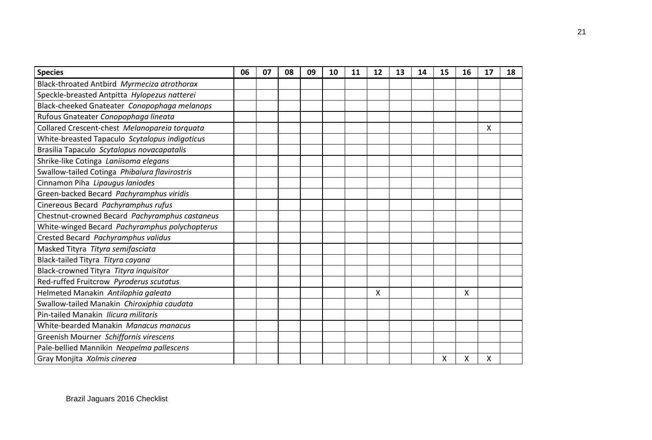| <b>Species</b>                                 | 06 | 07 | 08 | 09 | 10 | 11 | 12 | 13 | 14 | 15 | 16 | 17 | 18 |
|------------------------------------------------|----|----|----|----|----|----|----|----|----|----|----|----|----|
| Black-throated Antbird Myrmeciza atrothorax    |    |    |    |    |    |    |    |    |    |    |    |    |    |
| Speckle-breasted Antpitta Hylopezus natterei   |    |    |    |    |    |    |    |    |    |    |    |    |    |
| Black-cheeked Gnateater Conopophaga melanops   |    |    |    |    |    |    |    |    |    |    |    |    |    |
| Rufous Gnateater Conopophaga lineata           |    |    |    |    |    |    |    |    |    |    |    |    |    |
| Collared Crescent-chest Melanopareia torquata  |    |    |    |    |    |    |    |    |    |    |    | X  |    |
| White-breasted Tapaculo Scytalopus indigoticus |    |    |    |    |    |    |    |    |    |    |    |    |    |
| Brasilia Tapaculo Scytalopus novacapatalis     |    |    |    |    |    |    |    |    |    |    |    |    |    |
| Shrike-like Cotinga Laniisoma elegans          |    |    |    |    |    |    |    |    |    |    |    |    |    |
| Swallow-tailed Cotinga Phibalura flavirostris  |    |    |    |    |    |    |    |    |    |    |    |    |    |
| Cinnamon Piha Lipaugus laniodes                |    |    |    |    |    |    |    |    |    |    |    |    |    |
| Green-backed Becard Pachyramphus viridis       |    |    |    |    |    |    |    |    |    |    |    |    |    |
| Cinereous Becard Pachyramphus rufus            |    |    |    |    |    |    |    |    |    |    |    |    |    |
| Chestnut-crowned Becard Pachyramphus castaneus |    |    |    |    |    |    |    |    |    |    |    |    |    |
| White-winged Becard Pachyramphus polychopterus |    |    |    |    |    |    |    |    |    |    |    |    |    |
| Crested Becard Pachyramphus validus            |    |    |    |    |    |    |    |    |    |    |    |    |    |
| Masked Tityra Tityra semifasciata              |    |    |    |    |    |    |    |    |    |    |    |    |    |
| Black-tailed Tityra Tityra cayana              |    |    |    |    |    |    |    |    |    |    |    |    |    |
| Black-crowned Tityra Tityra inquisitor         |    |    |    |    |    |    |    |    |    |    |    |    |    |
| Red-ruffed Fruitcrow Pyroderus scutatus        |    |    |    |    |    |    |    |    |    |    |    |    |    |
| Helmeted Manakin Antilophia galeata            |    |    |    |    |    |    | X  |    |    |    | X  |    |    |
| Swallow-tailed Manakin Chiroxiphia caudata     |    |    |    |    |    |    |    |    |    |    |    |    |    |
| Pin-tailed Manakin Ilicura militaris           |    |    |    |    |    |    |    |    |    |    |    |    |    |
| White-bearded Manakin Manacus manacus          |    |    |    |    |    |    |    |    |    |    |    |    |    |
| Greenish Mourner Schiffornis virescens         |    |    |    |    |    |    |    |    |    |    |    |    |    |
| Pale-bellied Mannikin Neopelma pallescens      |    |    |    |    |    |    |    |    |    |    |    |    |    |
| Gray Monjita Xolmis cinerea                    |    |    |    |    |    |    |    |    |    | X  | Χ  | Χ  |    |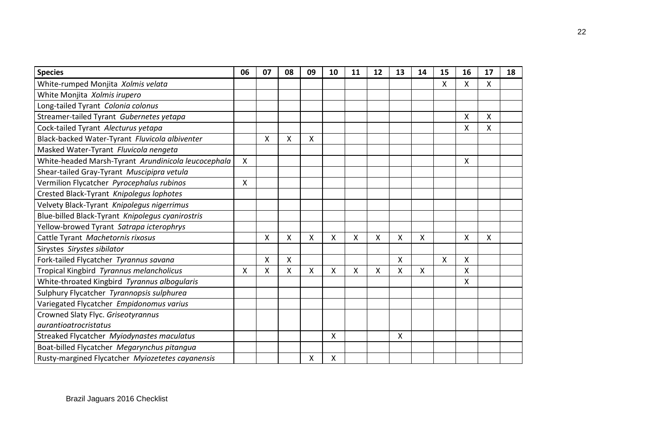| <b>Species</b>                                      | 06 | 07 | 08 | 09 | 10 | 11 | 12 | 13           | 14           | 15 | 16 | 17 | 18 |
|-----------------------------------------------------|----|----|----|----|----|----|----|--------------|--------------|----|----|----|----|
| White-rumped Monjita Xolmis velata                  |    |    |    |    |    |    |    |              |              | X  | X  | X  |    |
| White Monjita Xolmis irupero                        |    |    |    |    |    |    |    |              |              |    |    |    |    |
| Long-tailed Tyrant Colonia colonus                  |    |    |    |    |    |    |    |              |              |    |    |    |    |
| Streamer-tailed Tyrant Gubernetes yetapa            |    |    |    |    |    |    |    |              |              |    | Χ  | Χ  |    |
| Cock-tailed Tyrant Alecturus yetapa                 |    |    |    |    |    |    |    |              |              |    | Χ  | X  |    |
| Black-backed Water-Tyrant Fluvicola albiventer      |    | X  | X  | Χ  |    |    |    |              |              |    |    |    |    |
| Masked Water-Tyrant Fluvicola nengeta               |    |    |    |    |    |    |    |              |              |    |    |    |    |
| White-headed Marsh-Tyrant Arundinicola leucocephala | X  |    |    |    |    |    |    |              |              |    | Χ  |    |    |
| Shear-tailed Gray-Tyrant Muscipipra vetula          |    |    |    |    |    |    |    |              |              |    |    |    |    |
| Vermilion Flycatcher Pyrocephalus rubinos           | Χ  |    |    |    |    |    |    |              |              |    |    |    |    |
| Crested Black-Tyrant Knipolegus lophotes            |    |    |    |    |    |    |    |              |              |    |    |    |    |
| Velvety Black-Tyrant Knipolegus nigerrimus          |    |    |    |    |    |    |    |              |              |    |    |    |    |
| Blue-billed Black-Tyrant Knipolegus cyanirostris    |    |    |    |    |    |    |    |              |              |    |    |    |    |
| Yellow-browed Tyrant Satrapa icterophrys            |    |    |    |    |    |    |    |              |              |    |    |    |    |
| Cattle Tyrant Machetornis rixosus                   |    | X  | Χ  | X  | X  | Χ  | X  | X            | $\mathsf{X}$ |    | X  | Χ  |    |
| Sirystes Sirystes sibilator                         |    |    |    |    |    |    |    |              |              |    |    |    |    |
| Fork-tailed Flycatcher Tyrannus savana              |    | X  | X  |    |    |    |    | $\mathsf{X}$ |              | X  | X  |    |    |
| Tropical Kingbird Tyrannus melancholicus            | X  | Χ  | X  | x  | X  | Χ  | X  | X            | X            |    | Χ  |    |    |
| White-throated Kingbird Tyrannus albogularis        |    |    |    |    |    |    |    |              |              |    | Χ  |    |    |
| Sulphury Flycatcher Tyrannopsis sulphurea           |    |    |    |    |    |    |    |              |              |    |    |    |    |
| Variegated Flycatcher Empidonomus varius            |    |    |    |    |    |    |    |              |              |    |    |    |    |
| Crowned Slaty Flyc. Griseotyrannus                  |    |    |    |    |    |    |    |              |              |    |    |    |    |
| <i>aurantioatrocristatus</i>                        |    |    |    |    |    |    |    |              |              |    |    |    |    |
| Streaked Flycatcher Myiodynastes maculatus          |    |    |    |    | X  |    |    | X            |              |    |    |    |    |
| Boat-billed Flycatcher Megarynchus pitangua         |    |    |    |    |    |    |    |              |              |    |    |    |    |
| Rusty-margined Flycatcher Myiozetetes cayanensis    |    |    |    | Χ  | X  |    |    |              |              |    |    |    |    |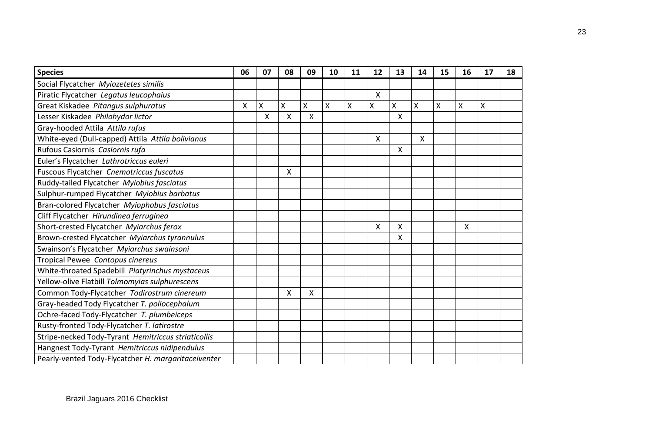| <b>Species</b>                                      | 06 | 07 | 08 | 09 | 10 | 11 | 12 | 13 | 14 | 15 | 16 | 17 | 18 |
|-----------------------------------------------------|----|----|----|----|----|----|----|----|----|----|----|----|----|
| Social Flycatcher Myiozetetes similis               |    |    |    |    |    |    |    |    |    |    |    |    |    |
| Piratic Flycatcher Legatus leucophaius              |    |    |    |    |    |    | X  |    |    |    |    |    |    |
| Great Kiskadee Pitangus sulphuratus                 | Χ  | Χ  | X  | X  | X  | Χ  | X  | X  | Χ  | X  | Χ  | X  |    |
| Lesser Kiskadee Philohydor lictor                   |    | X  | X  | X  |    |    |    | X  |    |    |    |    |    |
| Gray-hooded Attila Attila rufus                     |    |    |    |    |    |    |    |    |    |    |    |    |    |
| White-eyed (Dull-capped) Attila Attila bolivianus   |    |    |    |    |    |    | X  |    | X  |    |    |    |    |
| Rufous Casiornis Casiornis rufa                     |    |    |    |    |    |    |    | Χ  |    |    |    |    |    |
| Euler's Flycatcher Lathrotriccus euleri             |    |    |    |    |    |    |    |    |    |    |    |    |    |
| Fuscous Flycatcher Cnemotriccus fuscatus            |    |    | X  |    |    |    |    |    |    |    |    |    |    |
| Ruddy-tailed Flycatcher Myiobius fasciatus          |    |    |    |    |    |    |    |    |    |    |    |    |    |
| Sulphur-rumped Flycatcher Myiobius barbatus         |    |    |    |    |    |    |    |    |    |    |    |    |    |
| Bran-colored Flycatcher Myiophobus fasciatus        |    |    |    |    |    |    |    |    |    |    |    |    |    |
| Cliff Flycatcher Hirundinea ferruginea              |    |    |    |    |    |    |    |    |    |    |    |    |    |
| Short-crested Flycatcher Myiarchus ferox            |    |    |    |    |    |    | X  | X  |    |    | X  |    |    |
| Brown-crested Flycatcher Myiarchus tyrannulus       |    |    |    |    |    |    |    | x  |    |    |    |    |    |
| Swainson's Flycatcher Myiarchus swainsoni           |    |    |    |    |    |    |    |    |    |    |    |    |    |
| Tropical Pewee Contopus cinereus                    |    |    |    |    |    |    |    |    |    |    |    |    |    |
| White-throated Spadebill Platyrinchus mystaceus     |    |    |    |    |    |    |    |    |    |    |    |    |    |
| Yellow-olive Flatbill Tolmomyias sulphurescens      |    |    |    |    |    |    |    |    |    |    |    |    |    |
| Common Tody-Flycatcher Todirostrum cinereum         |    |    | X  | X  |    |    |    |    |    |    |    |    |    |
| Gray-headed Tody Flycatcher T. poliocephalum        |    |    |    |    |    |    |    |    |    |    |    |    |    |
| Ochre-faced Tody-Flycatcher T. plumbeiceps          |    |    |    |    |    |    |    |    |    |    |    |    |    |
| Rusty-fronted Tody-Flycatcher T. latirostre         |    |    |    |    |    |    |    |    |    |    |    |    |    |
| Stripe-necked Tody-Tyrant Hemitriccus striaticollis |    |    |    |    |    |    |    |    |    |    |    |    |    |
| Hangnest Tody-Tyrant Hemitriccus nidipendulus       |    |    |    |    |    |    |    |    |    |    |    |    |    |
| Pearly-vented Tody-Flycatcher H. margaritaceiventer |    |    |    |    |    |    |    |    |    |    |    |    |    |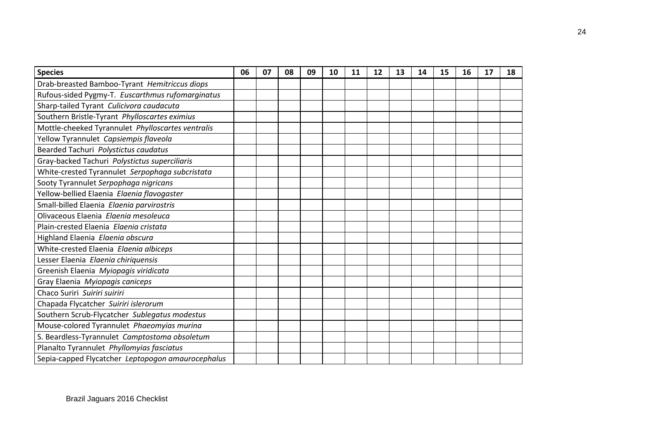| <b>Species</b>                                    | 06 | 07 | 08 | 09 | 10 | 11 | 12 | 13 | 14 | 15 | 16 | 17 | 18 |
|---------------------------------------------------|----|----|----|----|----|----|----|----|----|----|----|----|----|
| Drab-breasted Bamboo-Tyrant Hemitriccus diops     |    |    |    |    |    |    |    |    |    |    |    |    |    |
| Rufous-sided Pygmy-T. Euscarthmus rufomarginatus  |    |    |    |    |    |    |    |    |    |    |    |    |    |
| Sharp-tailed Tyrant Culicivora caudacuta          |    |    |    |    |    |    |    |    |    |    |    |    |    |
| Southern Bristle-Tyrant Phylloscartes eximius     |    |    |    |    |    |    |    |    |    |    |    |    |    |
| Mottle-cheeked Tyrannulet Phylloscartes ventralis |    |    |    |    |    |    |    |    |    |    |    |    |    |
| Yellow Tyrannulet Capsiempis flaveola             |    |    |    |    |    |    |    |    |    |    |    |    |    |
| Bearded Tachuri Polystictus caudatus              |    |    |    |    |    |    |    |    |    |    |    |    |    |
| Gray-backed Tachuri Polystictus superciliaris     |    |    |    |    |    |    |    |    |    |    |    |    |    |
| White-crested Tyrannulet Serpophaga subcristata   |    |    |    |    |    |    |    |    |    |    |    |    |    |
| Sooty Tyrannulet Serpophaga nigricans             |    |    |    |    |    |    |    |    |    |    |    |    |    |
| Yellow-bellied Elaenia Elaenia flavogaster        |    |    |    |    |    |    |    |    |    |    |    |    |    |
| Small-billed Elaenia Elaenia parvirostris         |    |    |    |    |    |    |    |    |    |    |    |    |    |
| Olivaceous Elaenia Elaenia mesoleuca              |    |    |    |    |    |    |    |    |    |    |    |    |    |
| Plain-crested Elaenia Elgenia cristata            |    |    |    |    |    |    |    |    |    |    |    |    |    |
| Highland Elaenia Elaenia obscura                  |    |    |    |    |    |    |    |    |    |    |    |    |    |
| White-crested Elaenia Elaenia albiceps            |    |    |    |    |    |    |    |    |    |    |    |    |    |
| Lesser Elaenia Elaenia chiriquensis               |    |    |    |    |    |    |    |    |    |    |    |    |    |
| Greenish Elaenia Myiopagis viridicata             |    |    |    |    |    |    |    |    |    |    |    |    |    |
| Gray Elaenia Myiopagis caniceps                   |    |    |    |    |    |    |    |    |    |    |    |    |    |
| Chaco Suriri Suiriri suiriri                      |    |    |    |    |    |    |    |    |    |    |    |    |    |
| Chapada Flycatcher Suiriri islerorum              |    |    |    |    |    |    |    |    |    |    |    |    |    |
| Southern Scrub-Flycatcher Sublegatus modestus     |    |    |    |    |    |    |    |    |    |    |    |    |    |
| Mouse-colored Tyrannulet Phaeomyias murina        |    |    |    |    |    |    |    |    |    |    |    |    |    |
| S. Beardless-Tyrannulet Camptostoma obsoletum     |    |    |    |    |    |    |    |    |    |    |    |    |    |
| Planalto Tyrannulet Phyllomyias fasciatus         |    |    |    |    |    |    |    |    |    |    |    |    |    |
| Sepia-capped Flycatcher Leptopogon amaurocephalus |    |    |    |    |    |    |    |    |    |    |    |    |    |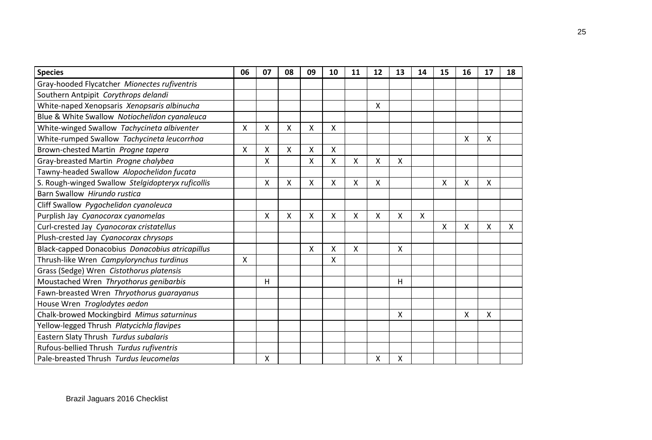| <b>Species</b>                                    | 06 | 07 | 08 | 09 | 10 | 11 | 12 | 13 | 14 | 15 | 16 | 17 | 18 |
|---------------------------------------------------|----|----|----|----|----|----|----|----|----|----|----|----|----|
| Gray-hooded Flycatcher Mionectes rufiventris      |    |    |    |    |    |    |    |    |    |    |    |    |    |
| Southern Antpipit Corythrops delandi              |    |    |    |    |    |    |    |    |    |    |    |    |    |
| White-naped Xenopsaris Xenopsaris albinucha       |    |    |    |    |    |    | X  |    |    |    |    |    |    |
| Blue & White Swallow Notiochelidon cyanaleuca     |    |    |    |    |    |    |    |    |    |    |    |    |    |
| White-winged Swallow Tachycineta albiventer       | X  | X  | X  | X  | X  |    |    |    |    |    |    |    |    |
| White-rumped Swallow Tachycineta leucorrhoa       |    |    |    |    |    |    |    |    |    |    | X  | X  |    |
| Brown-chested Martin Progne tapera                | Χ  | X  | X  | X  | X  |    |    |    |    |    |    |    |    |
| Gray-breasted Martin Progne chalybea              |    | Χ  |    | X  | x  | Χ  | Χ  | Χ  |    |    |    |    |    |
| Tawny-headed Swallow Alopochelidon fucata         |    |    |    |    |    |    |    |    |    |    |    |    |    |
| S. Rough-winged Swallow Stelgidopteryx ruficollis |    | X  | X. | X  | X  | x  | X  |    |    | X  | X  | X  |    |
| Barn Swallow Hirundo rustica                      |    |    |    |    |    |    |    |    |    |    |    |    |    |
| Cliff Swallow Pygochelidon cyanoleuca             |    |    |    |    |    |    |    |    |    |    |    |    |    |
| Purplish Jay Cyanocorax cyanomelas                |    | X  | X  | Χ  | X  | X  | X  | X  | X  |    |    |    |    |
| Curl-crested Jay Cyanocorax cristatellus          |    |    |    |    |    |    |    |    |    | X  | X  | X  | x  |
| Plush-crested Jay Cyanocorax chrysops             |    |    |    |    |    |    |    |    |    |    |    |    |    |
| Black-capped Donacobius Donacobius atricapillus   |    |    |    | X  | X  | Χ  |    | X  |    |    |    |    |    |
| Thrush-like Wren Campylorynchus turdinus          | X  |    |    |    | X  |    |    |    |    |    |    |    |    |
| Grass (Sedge) Wren Cistothorus platensis          |    |    |    |    |    |    |    |    |    |    |    |    |    |
| Moustached Wren Thryothorus genibarbis            |    | н  |    |    |    |    |    | Н  |    |    |    |    |    |
| Fawn-breasted Wren Thryothorus guarayanus         |    |    |    |    |    |    |    |    |    |    |    |    |    |
| House Wren Troglodytes aedon                      |    |    |    |    |    |    |    |    |    |    |    |    |    |
| Chalk-browed Mockingbird Mimus saturninus         |    |    |    |    |    |    |    | X  |    |    | X  | X  |    |
| Yellow-legged Thrush Platycichla flavipes         |    |    |    |    |    |    |    |    |    |    |    |    |    |
| Eastern Slaty Thrush Turdus subalaris             |    |    |    |    |    |    |    |    |    |    |    |    |    |
| Rufous-bellied Thrush Turdus rufiventris          |    |    |    |    |    |    |    |    |    |    |    |    |    |
| Pale-breasted Thrush Turdus leucomelas            |    | X  |    |    |    |    | X  | X  |    |    |    |    |    |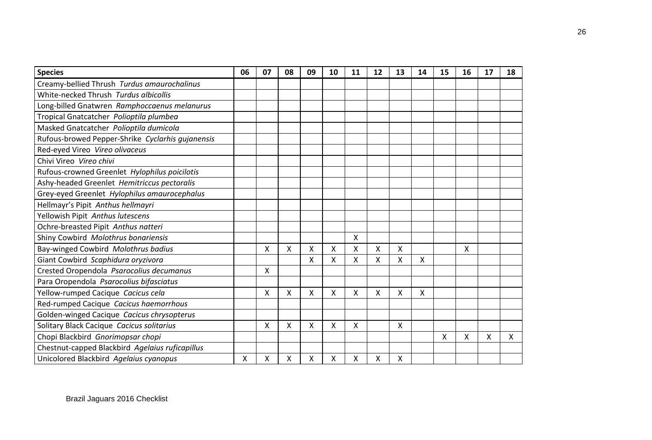| <b>Species</b>                                   | 06 | 07 | 08 | 09 | 10 | 11 | 12              | 13 | 14 | 15 | 16 | 17 | 18 |
|--------------------------------------------------|----|----|----|----|----|----|-----------------|----|----|----|----|----|----|
| Creamy-bellied Thrush Turdus amaurochalinus      |    |    |    |    |    |    |                 |    |    |    |    |    |    |
| White-necked Thrush Turdus albicollis            |    |    |    |    |    |    |                 |    |    |    |    |    |    |
| Long-billed Gnatwren Ramphoccaenus melanurus     |    |    |    |    |    |    |                 |    |    |    |    |    |    |
| Tropical Gnatcatcher Polioptila plumbea          |    |    |    |    |    |    |                 |    |    |    |    |    |    |
| Masked Gnatcatcher Polioptila dumicola           |    |    |    |    |    |    |                 |    |    |    |    |    |    |
| Rufous-browed Pepper-Shrike Cyclarhis gujanensis |    |    |    |    |    |    |                 |    |    |    |    |    |    |
| Red-eyed Vireo Vireo olivaceus                   |    |    |    |    |    |    |                 |    |    |    |    |    |    |
| Chivi Vireo Vireo chivi                          |    |    |    |    |    |    |                 |    |    |    |    |    |    |
| Rufous-crowned Greenlet Hylophilus poicilotis    |    |    |    |    |    |    |                 |    |    |    |    |    |    |
| Ashy-headed Greenlet Hemitriccus pectoralis      |    |    |    |    |    |    |                 |    |    |    |    |    |    |
| Grey-eyed Greenlet Hylophilus amaurocephalus     |    |    |    |    |    |    |                 |    |    |    |    |    |    |
| Hellmayr's Pipit Anthus hellmayri                |    |    |    |    |    |    |                 |    |    |    |    |    |    |
| Yellowish Pipit Anthus lutescens                 |    |    |    |    |    |    |                 |    |    |    |    |    |    |
| Ochre-breasted Pipit Anthus natteri              |    |    |    |    |    |    |                 |    |    |    |    |    |    |
| Shiny Cowbird Molothrus bonariensis              |    |    |    |    |    | Χ  |                 |    |    |    |    |    |    |
| Bay-winged Cowbird Molothrus badius              |    | X  | Χ  | X  | X  | X  | $\mathsf{\chi}$ | Χ  |    |    | Χ  |    |    |
| Giant Cowbird Scaphidura oryzivora               |    |    |    | X  | X  | x  | X               | Χ  | X  |    |    |    |    |
| Crested Oropendola Psarocolius decumanus         |    | Χ  |    |    |    |    |                 |    |    |    |    |    |    |
| Para Oropendola Psarocolius bifasciatus          |    |    |    |    |    |    |                 |    |    |    |    |    |    |
| Yellow-rumped Cacique Cacicus cela               |    | X  | X  | X  | X  | X  | X               | X  | X  |    |    |    |    |
| Red-rumped Cacique Cacicus haemorrhous           |    |    |    |    |    |    |                 |    |    |    |    |    |    |
| Golden-winged Cacique Cacicus chrysopterus       |    |    |    |    |    |    |                 |    |    |    |    |    |    |
| Solitary Black Cacique Cacicus solitarius        |    | Χ  | X  | Χ  | Χ  | Χ  |                 | Χ  |    |    |    |    |    |
| Chopi Blackbird Gnorimopsar chopi                |    |    |    |    |    |    |                 |    |    | Χ  | Χ  | X  | X  |
| Chestnut-capped Blackbird Agelaius ruficapillus  |    |    |    |    |    |    |                 |    |    |    |    |    |    |
| Unicolored Blackbird Agelaius cyanopus           | X  | Χ  | Χ  | Χ  | X  | Χ  | Χ               | Χ  |    |    |    |    |    |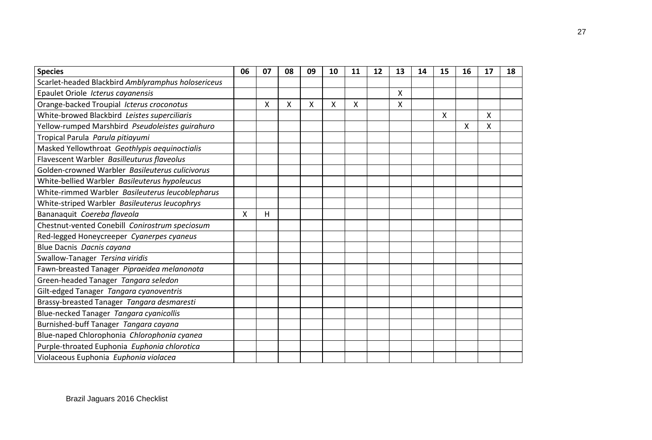| <b>Species</b>                                     | 06 | 07 | 08 | 09 | 10 | 11 | 12 | 13 | 14 | 15 | 16 | 17 | 18 |
|----------------------------------------------------|----|----|----|----|----|----|----|----|----|----|----|----|----|
| Scarlet-headed Blackbird Amblyramphus holosericeus |    |    |    |    |    |    |    |    |    |    |    |    |    |
| Epaulet Oriole Icterus cayanensis                  |    |    |    |    |    |    |    | X  |    |    |    |    |    |
| Orange-backed Troupial Icterus croconotus          |    | X  | X  | Χ  | X  | X  |    | Χ  |    |    |    |    |    |
| White-browed Blackbird Leistes superciliaris       |    |    |    |    |    |    |    |    |    | X  |    | X  |    |
| Yellow-rumped Marshbird Pseudoleistes guirahuro    |    |    |    |    |    |    |    |    |    |    | Χ  | X  |    |
| Tropical Parula Parula pitiayumi                   |    |    |    |    |    |    |    |    |    |    |    |    |    |
| Masked Yellowthroat Geothlypis aequinoctialis      |    |    |    |    |    |    |    |    |    |    |    |    |    |
| Flavescent Warbler Basilleuturus flaveolus         |    |    |    |    |    |    |    |    |    |    |    |    |    |
| Golden-crowned Warbler Basileuterus culicivorus    |    |    |    |    |    |    |    |    |    |    |    |    |    |
| White-bellied Warbler Basileuterus hypoleucus      |    |    |    |    |    |    |    |    |    |    |    |    |    |
| White-rimmed Warbler Basileuterus leucoblepharus   |    |    |    |    |    |    |    |    |    |    |    |    |    |
| White-striped Warbler Basileuterus leucophrys      |    |    |    |    |    |    |    |    |    |    |    |    |    |
| Bananaquit Coereba flaveola                        | X  | н  |    |    |    |    |    |    |    |    |    |    |    |
| Chestnut-vented Conebill Conirostrum speciosum     |    |    |    |    |    |    |    |    |    |    |    |    |    |
| Red-legged Honeycreeper Cyanerpes cyaneus          |    |    |    |    |    |    |    |    |    |    |    |    |    |
| Blue Dacnis Dacnis cayana                          |    |    |    |    |    |    |    |    |    |    |    |    |    |
| Swallow-Tanager Tersina viridis                    |    |    |    |    |    |    |    |    |    |    |    |    |    |
| Fawn-breasted Tanager Pipraeidea melanonota        |    |    |    |    |    |    |    |    |    |    |    |    |    |
| Green-headed Tanager Tangara seledon               |    |    |    |    |    |    |    |    |    |    |    |    |    |
| Gilt-edged Tanager Tangara cyanoventris            |    |    |    |    |    |    |    |    |    |    |    |    |    |
| Brassy-breasted Tanager Tangara desmaresti         |    |    |    |    |    |    |    |    |    |    |    |    |    |
| Blue-necked Tanager Tangara cyanicollis            |    |    |    |    |    |    |    |    |    |    |    |    |    |
| Burnished-buff Tanager Tangara cayana              |    |    |    |    |    |    |    |    |    |    |    |    |    |
| Blue-naped Chlorophonia Chlorophonia cyanea        |    |    |    |    |    |    |    |    |    |    |    |    |    |
| Purple-throated Euphonia Euphonia chlorotica       |    |    |    |    |    |    |    |    |    |    |    |    |    |
| Violaceous Euphonia Euphonia violacea              |    |    |    |    |    |    |    |    |    |    |    |    |    |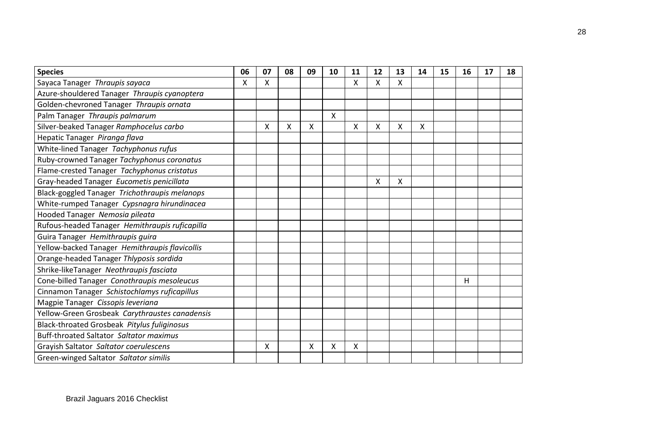| <b>Species</b>                                 | 06 | 07 | 08 | 09 | 10 | 11 | 12 | 13 | 14 | 15 | 16 | 17 | 18 |
|------------------------------------------------|----|----|----|----|----|----|----|----|----|----|----|----|----|
| Sayaca Tanager Thraupis sayaca                 | X  | X  |    |    |    | x  | X  | X. |    |    |    |    |    |
| Azure-shouldered Tanager Thraupis cyanoptera   |    |    |    |    |    |    |    |    |    |    |    |    |    |
| Golden-chevroned Tanager Thraupis ornata       |    |    |    |    |    |    |    |    |    |    |    |    |    |
| Palm Tanager Thraupis palmarum                 |    |    |    |    | X  |    |    |    |    |    |    |    |    |
| Silver-beaked Tanager Ramphocelus carbo        |    | X  | X  | X  |    | x  | X  | X. | X  |    |    |    |    |
| Hepatic Tanager Piranga flava                  |    |    |    |    |    |    |    |    |    |    |    |    |    |
| White-lined Tanager Tachyphonus rufus          |    |    |    |    |    |    |    |    |    |    |    |    |    |
| Ruby-crowned Tanager Tachyphonus coronatus     |    |    |    |    |    |    |    |    |    |    |    |    |    |
| Flame-crested Tanager Tachyphonus cristatus    |    |    |    |    |    |    |    |    |    |    |    |    |    |
| Gray-headed Tanager Eucometis penicillata      |    |    |    |    |    |    | X  | Χ  |    |    |    |    |    |
| Black-goggled Tanager Trichothraupis melanops  |    |    |    |    |    |    |    |    |    |    |    |    |    |
| White-rumped Tanager Cypsnagra hirundinacea    |    |    |    |    |    |    |    |    |    |    |    |    |    |
| Hooded Tanager Nemosia pileata                 |    |    |    |    |    |    |    |    |    |    |    |    |    |
| Rufous-headed Tanager Hemithraupis ruficapilla |    |    |    |    |    |    |    |    |    |    |    |    |    |
| Guira Tanager Hemithraupis guira               |    |    |    |    |    |    |    |    |    |    |    |    |    |
| Yellow-backed Tanager Hemithraupis flavicollis |    |    |    |    |    |    |    |    |    |    |    |    |    |
| Orange-headed Tanager Thlyposis sordida        |    |    |    |    |    |    |    |    |    |    |    |    |    |
| Shrike-likeTanager Neothraupis fasciata        |    |    |    |    |    |    |    |    |    |    |    |    |    |
| Cone-billed Tanager Conothraupis mesoleucus    |    |    |    |    |    |    |    |    |    |    | н  |    |    |
| Cinnamon Tanager Schistochlamys ruficapillus   |    |    |    |    |    |    |    |    |    |    |    |    |    |
| Magpie Tanager Cissopis leveriana              |    |    |    |    |    |    |    |    |    |    |    |    |    |
| Yellow-Green Grosbeak Carythraustes canadensis |    |    |    |    |    |    |    |    |    |    |    |    |    |
| Black-throated Grosbeak Pitylus fuliginosus    |    |    |    |    |    |    |    |    |    |    |    |    |    |
| Buff-throated Saltator Saltator maximus        |    |    |    |    |    |    |    |    |    |    |    |    |    |
| Grayish Saltator Saltator coerulescens         |    | X  |    | X  | X  | X  |    |    |    |    |    |    |    |
| Green-winged Saltator Saltator similis         |    |    |    |    |    |    |    |    |    |    |    |    |    |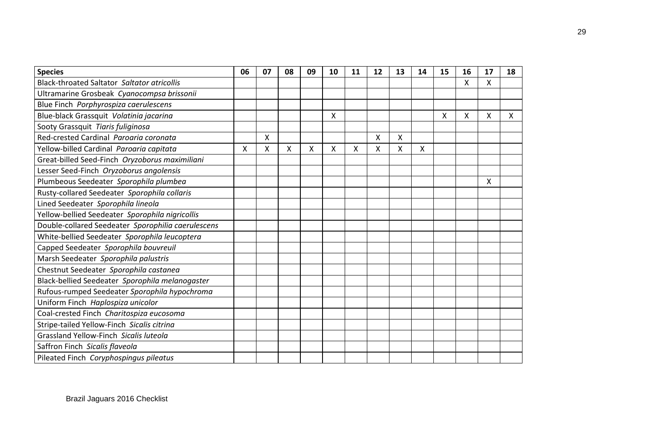| <b>Species</b>                                     | 06 | 07 | 08 | 09 | 10 | 11 | 12                        | 13 | 14 | 15 | 16 | 17 | 18 |
|----------------------------------------------------|----|----|----|----|----|----|---------------------------|----|----|----|----|----|----|
| <b>Black-throated Saltator Saltator atricollis</b> |    |    |    |    |    |    |                           |    |    |    | x  | X  |    |
| Ultramarine Grosbeak Cyanocompsa brissonii         |    |    |    |    |    |    |                           |    |    |    |    |    |    |
| Blue Finch Porphyrospiza caerulescens              |    |    |    |    |    |    |                           |    |    |    |    |    |    |
| Blue-black Grassquit Volatinia jacarina            |    |    |    |    | X  |    |                           |    |    | X  | Χ  | Χ  | X  |
| Sooty Grassquit Tiaris fuliginosa                  |    |    |    |    |    |    |                           |    |    |    |    |    |    |
| Red-crested Cardinal Parogria coronata             |    | X  |    |    |    |    | $\boldsymbol{\mathsf{X}}$ | X  |    |    |    |    |    |
| Yellow-billed Cardinal Paroaria capitata           | X  | X  | X  | Χ  | X  | Χ  | X                         | Χ  | Χ  |    |    |    |    |
| Great-billed Seed-Finch Oryzoborus maximiliani     |    |    |    |    |    |    |                           |    |    |    |    |    |    |
| Lesser Seed-Finch Oryzoborus angolensis            |    |    |    |    |    |    |                           |    |    |    |    |    |    |
| Plumbeous Seedeater Sporophila plumbea             |    |    |    |    |    |    |                           |    |    |    |    | X  |    |
| Rusty-collared Seedeater Sporophila collaris       |    |    |    |    |    |    |                           |    |    |    |    |    |    |
| Lined Seedeater Sporophila lineola                 |    |    |    |    |    |    |                           |    |    |    |    |    |    |
| Yellow-bellied Seedeater Sporophila nigricollis    |    |    |    |    |    |    |                           |    |    |    |    |    |    |
| Double-collared Seedeater Sporophilia caerulescens |    |    |    |    |    |    |                           |    |    |    |    |    |    |
| White-bellied Seedeater Sporophila leucoptera      |    |    |    |    |    |    |                           |    |    |    |    |    |    |
| Capped Seedeater Sporophila bouvreuil              |    |    |    |    |    |    |                           |    |    |    |    |    |    |
| Marsh Seedeater Sporophila palustris               |    |    |    |    |    |    |                           |    |    |    |    |    |    |
| Chestnut Seedeater Sporophila castanea             |    |    |    |    |    |    |                           |    |    |    |    |    |    |
| Black-bellied Seedeater Sporophila melanogaster    |    |    |    |    |    |    |                           |    |    |    |    |    |    |
| Rufous-rumped Seedeater Sporophila hypochroma      |    |    |    |    |    |    |                           |    |    |    |    |    |    |
| Uniform Finch Haplospiza unicolor                  |    |    |    |    |    |    |                           |    |    |    |    |    |    |
| Coal-crested Finch Charitospiza eucosoma           |    |    |    |    |    |    |                           |    |    |    |    |    |    |
| Stripe-tailed Yellow-Finch Sicalis citrina         |    |    |    |    |    |    |                           |    |    |    |    |    |    |
| Grassland Yellow-Finch Sicalis luteola             |    |    |    |    |    |    |                           |    |    |    |    |    |    |
| Saffron Finch Sicalis flaveola                     |    |    |    |    |    |    |                           |    |    |    |    |    |    |
| Pileated Finch Coryphospingus pileatus             |    |    |    |    |    |    |                           |    |    |    |    |    |    |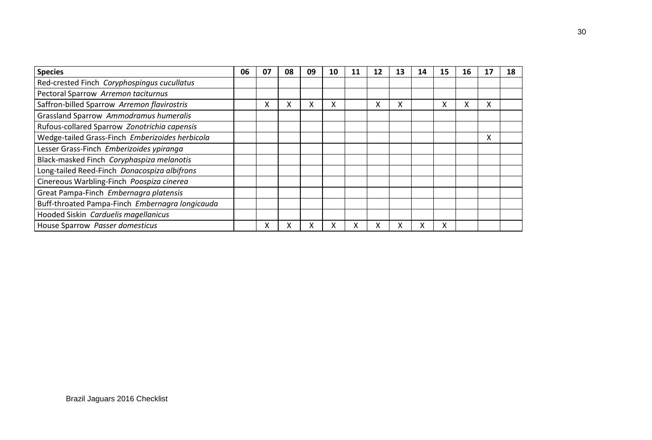| <b>Species</b>                                  | 06 | 07 | 08 | 09 | 10 | 11 | 12 | 13 | 14 | 15 | 16 |   | 18 |
|-------------------------------------------------|----|----|----|----|----|----|----|----|----|----|----|---|----|
| Red-crested Finch Coryphospingus cucullatus     |    |    |    |    |    |    |    |    |    |    |    |   |    |
| Pectoral Sparrow Arremon taciturnus             |    |    |    |    |    |    |    |    |    |    |    |   |    |
| Saffron-billed Sparrow Arremon flavirostris     |    | x  | x  | x  | x  |    | x  | x  |    | x  | x  | X |    |
| Grassland Sparrow Ammodramus humeralis          |    |    |    |    |    |    |    |    |    |    |    |   |    |
| Rufous-collared Sparrow Zonotrichia capensis    |    |    |    |    |    |    |    |    |    |    |    |   |    |
| Wedge-tailed Grass-Finch Emberizoides herbicola |    |    |    |    |    |    |    |    |    |    |    | x |    |
| Lesser Grass-Finch Emberizoides ypiranga        |    |    |    |    |    |    |    |    |    |    |    |   |    |
| Black-masked Finch Coryphaspiza melanotis       |    |    |    |    |    |    |    |    |    |    |    |   |    |
| Long-tailed Reed-Finch Donacospiza albifrons    |    |    |    |    |    |    |    |    |    |    |    |   |    |
| Cinereous Warbling-Finch Poospiza cinerea       |    |    |    |    |    |    |    |    |    |    |    |   |    |
| Great Pampa-Finch Embernagra platensis          |    |    |    |    |    |    |    |    |    |    |    |   |    |
| Buff-throated Pampa-Finch Embernagra longicauda |    |    |    |    |    |    |    |    |    |    |    |   |    |
| Hooded Siskin Carduelis magellanicus            |    |    |    |    |    |    |    |    |    |    |    |   |    |
| House Sparrow Passer domesticus                 |    | x  | χ  | χ  |    | x  | х  | χ  |    |    |    |   |    |